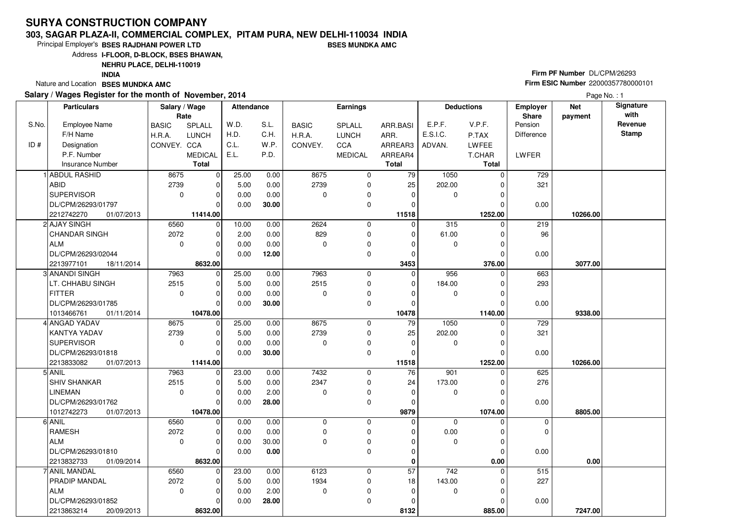#### **303, SAGAR PLAZA-II, COMMERCIAL COMPLEX, PITAM PURA, NEW DELHI-110034 INDIABSES MUNDKA AMC**

Principal Employer's**BSES RAJDHANI POWER LTD**

Address**I-FLOOR, D-BLOCK, BSES BHAWAN,**

### **NEHRU PLACE, DELHI-110019**

**INDIA**

Nature and Location **BSES MUNDKA AMC** 

#### **Salary / Wages Register for the month of November, 2014**

# **Firm PF Number** DL/CPM/26293 **Firm ESIC Number** <sup>22000357780000101</sup>

|       | <b>Particulars</b>       | Salary / Wage<br>Rate |                | <b>Attendance</b> |       |              | Earnings       |              |             | <b>Deductions</b> | Employer<br>Share | <b>Net</b><br>payment | Signature<br>with |
|-------|--------------------------|-----------------------|----------------|-------------------|-------|--------------|----------------|--------------|-------------|-------------------|-------------------|-----------------------|-------------------|
| S.No. | <b>Employee Name</b>     | <b>BASIC</b>          | SPLALL         | W.D.              | S.L.  | <b>BASIC</b> | SPLALL         | ARR.BASI     | E.P.F.      | V.P.F.            | Pension           |                       | Revenue           |
|       | F/H Name                 | H.R.A.                | <b>LUNCH</b>   | H.D.              | C.H.  | H.R.A.       | <b>LUNCH</b>   | ARR.         | E.S.I.C.    | P.TAX             | Difference        |                       | <b>Stamp</b>      |
| ID#   | Designation              | CONVEY. CCA           |                | C.L.              | W.P.  | CONVEY.      | CCA            | ARREAR3      | ADVAN.      | <b>LWFEE</b>      |                   |                       |                   |
|       | P.F. Number              |                       | <b>MEDICAL</b> | E.L.              | P.D.  |              | <b>MEDICAL</b> | ARREAR4      |             | T.CHAR            | LWFER             |                       |                   |
|       | Insurance Number         |                       | <b>Total</b>   |                   |       |              |                | <b>Total</b> |             | Total             |                   |                       |                   |
|       | 1 ABDUL RASHID           | 8675                  | $\mathbf 0$    | 25.00             | 0.00  | 8675         | $\mathbf 0$    | 79           | 1050        | $\Omega$          | 729               |                       |                   |
|       | ABID                     | 2739                  | 0              | 5.00              | 0.00  | 2739         | $\mathbf 0$    | 25           | 202.00      | ∩                 | 321               |                       |                   |
|       | <b>SUPERVISOR</b>        | $\mathbf 0$           | $\mathbf 0$    | 0.00              | 0.00  | $\mathbf 0$  | 0              | $\mathbf 0$  | 0           | 0                 |                   |                       |                   |
|       | DL/CPM/26293/01797       |                       | $\Omega$       | 0.00              | 30.00 |              | $\mathbf 0$    | $\Omega$     |             |                   | 0.00              |                       |                   |
|       | 2212742270<br>01/07/2013 |                       | 11414.00       |                   |       |              |                | 11518        |             | 1252.00           |                   | 10266.00              |                   |
|       | 2 AJAY SINGH             | 6560                  | $\mathbf 0$    | 10.00             | 0.00  | 2624         | $\mathbf 0$    | $\mathbf 0$  | 315         | $\Omega$          | 219               |                       |                   |
|       | <b>CHANDAR SINGH</b>     | 2072                  | $\mathbf 0$    | 2.00              | 0.00  | 829          | 0              | $\mathbf 0$  | 61.00       | $\Omega$          | 96                |                       |                   |
|       | <b>ALM</b>               | $\mathbf 0$           | $\mathbf 0$    | 0.00              | 0.00  | $\mathbf 0$  | 0              | 0            | $\mathbf 0$ | 0                 |                   |                       |                   |
|       | DL/CPM/26293/02044       |                       | $\Omega$       | 0.00              | 12.00 |              | 0              | $\Omega$     |             | $\Omega$          | 0.00              |                       |                   |
|       | 2213977101<br>18/11/2014 |                       | 8632.00        |                   |       |              |                | 3453         |             | 376.00            |                   | 3077.00               |                   |
|       | 3  ANANDI SINGH          | 7963                  | $\mathbf 0$    | 25.00             | 0.00  | 7963         | 0              | $\mathbf 0$  | 956         |                   | 663               |                       |                   |
|       | LT. CHHABU SINGH         | 2515                  | $\mathbf 0$    | 5.00              | 0.00  | 2515         | 0              | $\mathbf 0$  | 184.00      | $\Omega$          | 293               |                       |                   |
|       | <b>FITTER</b>            | $\mathbf 0$           | $\mathbf 0$    | 0.00              | 0.00  | 0            | 0              | $\Omega$     | 0           | $\Omega$          |                   |                       |                   |
|       | DL/CPM/26293/01785       |                       | $\Omega$       | 0.00              | 30.00 |              | 0              | $\mathbf 0$  |             |                   | 0.00              |                       |                   |
|       | 1013466761<br>01/11/2014 |                       | 10478.00       |                   |       |              |                | 10478        |             | 1140.00           |                   | 9338.00               |                   |
|       | 4 ANGAD YADAV            | 8675                  | $\circ$        | 25.00             | 0.00  | 8675         | $\mathbf 0$    | 79           | 1050        | $\Omega$          | 729               |                       |                   |
|       | KANTYA YADAV             | 2739                  | $\mathbf 0$    | 5.00              | 0.00  | 2739         | 0              | 25           | 202.00      | 0                 | 321               |                       |                   |
|       | <b>SUPERVISOR</b>        | $\mathbf 0$           | $\mathbf 0$    | 0.00              | 0.00  | $\mathbf 0$  | 0              | $\mathbf 0$  | $\mathbf 0$ | $\Omega$          |                   |                       |                   |
|       | DL/CPM/26293/01818       |                       | $\mathbf 0$    | 0.00              | 30.00 |              | 0              | $\mathbf 0$  |             | $\Omega$          | 0.00              |                       |                   |
|       | 2213833082<br>01/07/2013 |                       | 11414.00       |                   |       |              |                | 11518        |             | 1252.00           |                   | 10266.00              |                   |
|       | 5 ANIL                   | 7963                  | 0              | 23.00             | 0.00  | 7432         | 0              | 76           | 901         | $\Omega$          | 625               |                       |                   |
|       | <b>SHIV SHANKAR</b>      | 2515                  | $\mathbf 0$    | 5.00              | 0.00  | 2347         | 0              | 24           | 173.00      | 0                 | 276               |                       |                   |
|       | <b>LINEMAN</b>           | $\mathbf 0$           | $\mathbf 0$    | 0.00              | 2.00  | $\mathbf 0$  | 0              | $\mathbf 0$  | 0           | 0                 |                   |                       |                   |
|       | DL/CPM/26293/01762       |                       | $\overline{0}$ | 0.00              | 28.00 |              | $\mathbf 0$    | $\Omega$     |             | C                 | 0.00              |                       |                   |
|       | 1012742273<br>01/07/2013 |                       | 10478.00       |                   |       |              |                | 9879         |             | 1074.00           |                   | 8805.00               |                   |
|       | 6 ANIL                   | 6560                  | $\mathbf 0$    | 0.00              | 0.00  | $\mathbf 0$  | 0              | $\mathbf 0$  | $\mathbf 0$ | $\Omega$          | $\mathbf 0$       |                       |                   |
|       | <b>RAMESH</b>            | 2072                  | $\mathbf 0$    | 0.00              | 0.00  | $\mathbf 0$  | $\mathbf 0$    | $\Omega$     | 0.00        | $\Omega$          | $\Omega$          |                       |                   |
|       | <b>ALM</b>               | $\mathbf 0$           | $\mathbf 0$    | 0.00              | 30.00 | $\mathbf 0$  | 0              | $\mathbf 0$  | $\mathbf 0$ | $\Omega$          |                   |                       |                   |
|       | DL/CPM/26293/01810       |                       | $\overline{0}$ | 0.00              | 0.00  |              | $\mathbf 0$    | $\Omega$     |             | $\Omega$          | 0.00              |                       |                   |
|       | 2213832733<br>01/09/2014 |                       | 8632.00        |                   |       |              |                | $\mathbf 0$  |             | 0.00              |                   | 0.00                  |                   |
|       | 7 ANIL MANDAL            | 6560                  | $\mathbf 0$    | 23.00             | 0.00  | 6123         | 0              | 57           | 742         | 0                 | 515               |                       |                   |
|       | PRADIP MANDAL            | 2072                  | $\mathbf 0$    | 5.00              | 0.00  | 1934         | 0              | 18           | 143.00      | C                 | 227               |                       |                   |
|       | <b>ALM</b>               | $\mathbf 0$           | $\mathbf 0$    | 0.00              | 2.00  | 0            | 0              | $\mathbf 0$  | 0           | $\Omega$          |                   |                       |                   |
|       | DL/CPM/26293/01852       |                       | $\mathbf 0$    | 0.00              | 28.00 |              | $\mathbf 0$    | 0            |             | $\sqrt{ }$        | 0.00              |                       |                   |
|       | 2213863214<br>20/09/2013 |                       | 8632.00        |                   |       |              |                | 8132         |             | 885.00            |                   | 7247.00               |                   |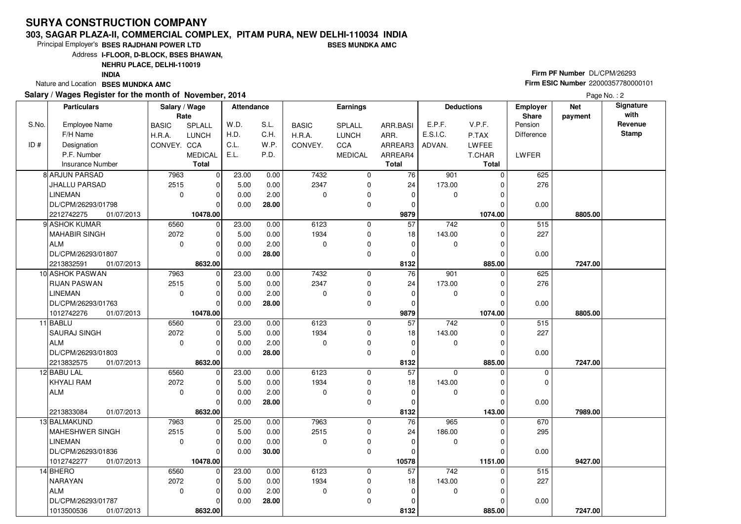#### **303, SAGAR PLAZA-II, COMMERCIAL COMPLEX, PITAM PURA, NEW DELHI-110034 INDIABSES MUNDKA AMC**

Principal Employer's**BSES RAJDHANI POWER LTD**

Address**I-FLOOR, D-BLOCK, BSES BHAWAN,**

**NEHRU PLACE, DELHI-110019**

**INDIA**

Nature and Location **BSES MUNDKA AMC** 

#### **Salary / Wages Register for the month of November, 2014**

# **Firm PF Number** DL/CPM/26293 **Firm ESIC Number** <sup>22000357780000101</sup>

Page No.: 2

|       | <b>Particulars</b>              | Salary / Wage<br>Rate |                         | <b>Attendance</b> |               |              | <b>Earnings</b>  |                          |               | <b>Deductions</b>  | <b>Employer</b><br>Share | <b>Net</b><br>payment | Signature<br>with |
|-------|---------------------------------|-----------------------|-------------------------|-------------------|---------------|--------------|------------------|--------------------------|---------------|--------------------|--------------------------|-----------------------|-------------------|
| S.No. | <b>Employee Name</b>            | <b>BASIC</b>          | SPLALL                  | W.D.              | S.L.          | <b>BASIC</b> | SPLALL           | ARR.BASI                 | E.P.F.        | V.P.F.             | Pension                  |                       | Revenue           |
|       | F/H Name                        | H.R.A.                | <b>LUNCH</b>            | H.D.              | C.H.          | H.R.A.       | <b>LUNCH</b>     | ARR.                     | E.S.I.C.      | P.TAX              | Difference               |                       | <b>Stamp</b>      |
| ID#   | Designation                     | CONVEY. CCA           |                         | C.L.              | W.P.          | CONVEY.      | CCA              | ARREAR3                  | ADVAN.        | <b>LWFEE</b>       |                          |                       |                   |
|       | P.F. Number                     |                       | <b>MEDICAL</b>          | E.L.              | P.D.          |              | <b>MEDICAL</b>   | ARREAR4                  |               | T.CHAR             | LWFER                    |                       |                   |
|       | <b>Insurance Number</b>         |                       | <b>Total</b>            |                   |               |              |                  | <b>Total</b>             |               | <b>Total</b>       |                          |                       |                   |
|       | <b>8 ARJUN PARSAD</b>           | 7963                  | $\mathbf 0$             | 23.00             | 0.00          | 7432         | $\mathbf 0$      | 76                       | 901           | 0                  | 625                      |                       |                   |
|       | <b>JHALLU PARSAD</b>            | 2515                  | $\mathbf 0$             | 5.00              | 0.00          | 2347         | 0                | 24                       | 173.00        |                    | 276                      |                       |                   |
|       | <b>LINEMAN</b>                  | $\mathbf 0$           | $\mathbf 0$             | 0.00              | 2.00          | $\mathbf 0$  | $\mathbf 0$      | $\mathbf 0$              | $\mathbf 0$   | O                  |                          |                       |                   |
|       | DL/CPM/26293/01798              |                       | $\Omega$                | 0.00              | 28.00         |              | 0                | 0                        |               |                    | 0.00                     |                       |                   |
|       | 2212742275<br>01/07/2013        |                       | 10478.00                |                   |               |              |                  | 9879                     |               | 1074.00            |                          | 8805.00               |                   |
|       | 9 ASHOK KUMAR                   | 6560                  | $\mathbf 0$             | 23.00             | 0.00          | 6123         | $\mathbf 0$      | $\overline{57}$          | 742           | $\Omega$           | 515                      |                       |                   |
|       | MAHABIR SINGH                   | 2072                  | $\mathbf 0$             | 5.00              | 0.00          | 1934         | 0                | 18                       | 143.00        |                    | 227                      |                       |                   |
|       | <b>ALM</b>                      | $\mathbf 0$           | $\mathbf 0$             | 0.00              | 2.00          | $\mathbf 0$  | $\mathbf 0$      | $\mathbf 0$              | 0             | 0                  |                          |                       |                   |
|       | DL/CPM/26293/01807              |                       | $\Omega$                | 0.00              | 28.00         |              | $\mathbf 0$      | $\Omega$                 |               | O                  | 0.00                     |                       |                   |
|       | 2213832591<br>01/07/2013        |                       | 8632.00                 |                   |               |              |                  | 8132                     |               | 885.00             |                          | 7247.00               |                   |
|       | 10 ASHOK PASWAN                 | 7963                  | $\mathbf 0$             | 23.00             | 0.00          | 7432         | $\mathbf 0$      | 76                       | 901           | O                  | 625                      |                       |                   |
|       | <b>RIJAN PASWAN</b>             | 2515                  | $\mathbf 0$             | 5.00              | 0.00          | 2347         | 0                | 24                       | 173.00        | 0                  | 276                      |                       |                   |
|       | <b>LINEMAN</b>                  | $\mathbf 0$           | $\mathbf 0$             | 0.00              | 2.00          | $\mathbf 0$  | $\mathbf 0$      | 0                        | 0             | 0                  |                          |                       |                   |
|       | DL/CPM/26293/01763              |                       | $\Omega$                | 0.00              | 28.00         |              | $\mathbf 0$      | $\Omega$                 |               |                    | 0.00                     |                       |                   |
|       | 1012742276<br>01/07/2013        |                       | 10478.00                |                   |               |              |                  | 9879                     |               | 1074.00            |                          | 8805.00               |                   |
|       | 11 BABLU                        | 6560                  | $\mathbf 0$             | 23.00             | 0.00          | 6123         | $\mathbf 0$      | 57                       | 742           | $\Omega$           | 515                      |                       |                   |
|       | SAURAJ SINGH                    | 2072                  | 0                       | 5.00              | 0.00          | 1934         | 0                | 18                       | 143.00        | 0                  | 227                      |                       |                   |
|       | ALM                             | $\mathbf 0$           | $\mathbf 0$             | 0.00              | 2.00          | $\mathbf 0$  | $\mathbf 0$      | 0                        | 0             | 0                  |                          |                       |                   |
|       | DL/CPM/26293/01803              |                       | $\Omega$                | 0.00              | 28.00         |              | $\mathbf 0$      | $\Omega$                 |               | $\Omega$           | 0.00                     |                       |                   |
|       | 2213832575<br>01/07/2013        |                       | 8632.00                 |                   |               |              |                  | 8132                     |               | 885.00             |                          | 7247.00               |                   |
|       | 12 BABU LAL                     | 6560                  | $\mathbf 0$             | 23.00             | 0.00          | 6123         | 0                | 57                       | 0             | 0                  | 0                        |                       |                   |
|       | <b>KHYALI RAM</b>               | 2072                  | 0                       | 5.00              | 0.00          | 1934         | $\mathbf 0$      | 18                       | 143.00        | 0                  | $\mathbf 0$              |                       |                   |
|       | ALM                             | $\mathbf 0$           | $\mathbf 0$             | 0.00              | 2.00          | $\Omega$     | 0                | $\mathbf 0$              | 0             | 0                  |                          |                       |                   |
|       |                                 |                       | $\Omega$                | 0.00              | 28.00         |              | $\mathbf 0$      | $\Omega$                 |               | 0                  | 0.00                     |                       |                   |
|       | 2213833084<br>01/07/2013        |                       | 8632.00                 |                   |               |              |                  | 8132                     |               | 143.00<br>$\Omega$ |                          | 7989.00               |                   |
|       | 13 BALMAKUND<br>MAHESHWER SINGH | 7963<br>2515          | $\mathbf 0$             | 25.00<br>5.00     | 0.00<br>0.00  | 7963<br>2515 | 0                | 76                       | 965<br>186.00 |                    | 670<br>295               |                       |                   |
|       | <b>LINEMAN</b>                  | $\mathbf 0$           | 0<br>$\mathbf 0$        | 0.00              |               | $\Omega$     | 0                | 24<br>$\mathbf 0$        |               | 0<br>0             |                          |                       |                   |
|       | DL/CPM/26293/01836              |                       | $\Omega$                | 0.00              | 0.00<br>30.00 |              | 0<br>$\mathbf 0$ | $\mathbf 0$              | 0             | $\Omega$           | 0.00                     |                       |                   |
|       | 1012742277                      |                       |                         |                   |               |              |                  |                          |               | 1151.00            |                          | 9427.00               |                   |
|       | 01/07/2013<br>14 BHERO          | 6560                  | 10478.00<br>$\mathbf 0$ | 23.00             | 0.00          | 6123         | 0                | 10578<br>$\overline{57}$ | 742           | $\mathbf 0$        | 515                      |                       |                   |
|       | NARAYAN                         | 2072                  | $\mathbf 0$             | 5.00              | 0.00          | 1934         | $\mathbf 0$      | 18                       | 143.00        | 0                  | 227                      |                       |                   |
|       | ALM                             | $\mathbf 0$           | $\mathbf 0$             | 0.00              | 2.00          | $\Omega$     | 0                | $\mathbf 0$              | 0             |                    |                          |                       |                   |
|       | DL/CPM/26293/01787              |                       | $\Omega$                | 0.00              | 28.00         |              | $\mathbf 0$      | $\Omega$                 |               |                    | 0.00                     |                       |                   |
|       | 1013500536<br>01/07/2013        |                       | 8632.00                 |                   |               |              |                  | 8132                     |               | 885.00             |                          | 7247.00               |                   |
|       |                                 |                       |                         |                   |               |              |                  |                          |               |                    |                          |                       |                   |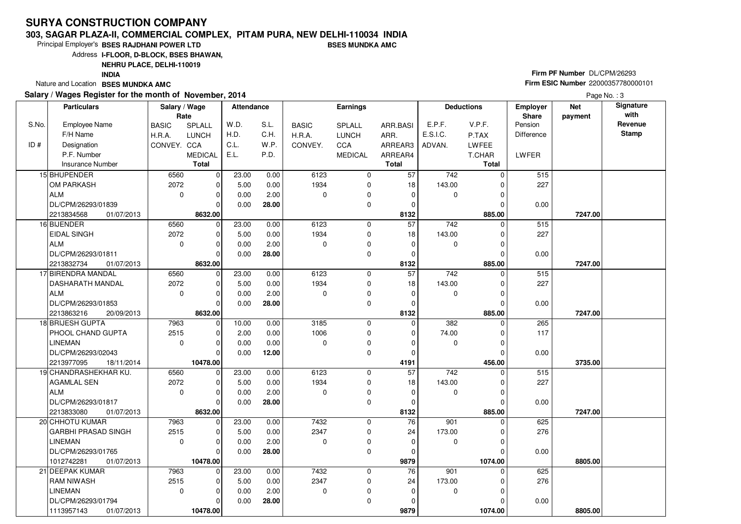#### **303, SAGAR PLAZA-II, COMMERCIAL COMPLEX, PITAM PURA, NEW DELHI-110034 INDIABSES MUNDKA AMC**

Principal Employer's**BSES RAJDHANI POWER LTD**

Address**I-FLOOR, D-BLOCK, BSES BHAWAN,**

### **NEHRU PLACE, DELHI-110019**

**INDIA**

Nature and Location **BSES MUNDKA AMC** 

#### **Salary / Wages Register for the month of November, 2014**

# **Firm PF Number** DL/CPM/26293 **Firm ESIC Number** <sup>22000357780000101</sup>

|       | <b>Particulars</b>                   | Salary / Wage<br>Rate |                         | <b>Attendance</b> |       |              | <b>Earnings</b> |                         |                  | <b>Deductions</b> | Employer<br>Share | <b>Net</b><br>payment | Signature<br>with |
|-------|--------------------------------------|-----------------------|-------------------------|-------------------|-------|--------------|-----------------|-------------------------|------------------|-------------------|-------------------|-----------------------|-------------------|
| S.No. | <b>Employee Name</b>                 | <b>BASIC</b>          | <b>SPLALL</b>           | W.D.              | S.L.  | <b>BASIC</b> | SPLALL          | ARR.BASI                | E.P.F.           | V.P.F.            | Pension           |                       | Revenue           |
|       | F/H Name                             | H.R.A.                | <b>LUNCH</b>            | H.D.              | C.H.  | H.R.A.       | <b>LUNCH</b>    | ARR.                    | E.S.I.C.         | P.TAX             | <b>Difference</b> |                       | <b>Stamp</b>      |
| ID#   | Designation                          | CONVEY. CCA           |                         | C.L.              | W.P.  | CONVEY.      | <b>CCA</b>      | ARREAR3                 | ADVAN.           | LWFEE             |                   |                       |                   |
|       | P.F. Number                          |                       | <b>MEDICAL</b>          | E.L.              | P.D.  |              | <b>MEDICAL</b>  | ARREAR4                 |                  | T.CHAR            | <b>LWFER</b>      |                       |                   |
|       | Insurance Number                     |                       | <b>Total</b>            |                   |       |              |                 | <b>Total</b>            |                  | <b>Total</b>      |                   |                       |                   |
|       | 15 BHUPENDER                         | 6560                  | $\mathbf 0$             | 23.00             | 0.00  | 6123         | $\mathbf 0$     | $\overline{57}$         | $\overline{742}$ | $\Omega$          | 515               |                       |                   |
|       | OM PARKASH                           | 2072                  | $\mathbf 0$             | 5.00              | 0.00  | 1934         | 0               | 18                      | 143.00           |                   | 227               |                       |                   |
|       | ALM                                  | $\mathbf 0$           | $\mathbf 0$             | 0.00              | 2.00  | $\Omega$     | $\mathbf 0$     | 0                       | $\mathbf 0$      | $\Omega$          |                   |                       |                   |
|       | DL/CPM/26293/01839                   |                       | $\Omega$                | 0.00              | 28.00 |              | $\mathbf 0$     | 0                       |                  |                   | 0.00              |                       |                   |
|       | 2213834568<br>01/07/2013             |                       | 8632.00                 |                   |       |              |                 | 8132                    |                  | 885.00            |                   | 7247.00               |                   |
|       | 16 BIJENDER                          | 6560                  | $\mathbf 0$             | 23.00             | 0.00  | 6123         | $\mathbf 0$     | $\overline{57}$         | 742              | $\Omega$          | 515               |                       |                   |
|       | <b>EIDAL SINGH</b>                   | 2072                  | $\mathbf 0$             | 5.00              | 0.00  | 1934         | 0               | 18                      | 143.00           | O                 | 227               |                       |                   |
|       | ALM                                  | $\mathbf 0$           | $\mathbf 0$             | 0.00              | 2.00  | $\mathbf 0$  | $\mathbf 0$     | $\mathbf 0$             | 0                | $\Omega$          |                   |                       |                   |
|       | DL/CPM/26293/01811                   |                       | $\Omega$                | 0.00              | 28.00 |              | 0               | 0                       |                  | O                 | 0.00              |                       |                   |
|       | 2213832734<br>01/07/2013             |                       | 8632.00                 |                   |       |              |                 | 8132                    |                  | 885.00            |                   | 7247.00               |                   |
|       | 17 BIRENDRA MANDAL                   | 6560                  | $\mathbf 0$             | 23.00             | 0.00  | 6123         | 0               | 57                      | 742              | 0                 | 515               |                       |                   |
|       | <b>DASHARATH MANDAL</b>              | 2072                  | $\mathbf 0$             | 5.00              | 0.00  | 1934         | 0               | 18                      | 143.00           | 0                 | 227               |                       |                   |
|       | ALM                                  | $\mathbf 0$           | $\mathbf 0$             | 0.00              | 2.00  | $\Omega$     | 0               | 0                       | 0                | 0                 |                   |                       |                   |
|       | DL/CPM/26293/01853                   |                       | $\Omega$                | 0.00              | 28.00 |              | $\mathbf 0$     | $\mathbf 0$             |                  |                   | 0.00              |                       |                   |
|       | 2213863216<br>20/09/2013             |                       | 8632.00                 |                   |       |              |                 | 8132                    |                  | 885.00            |                   | 7247.00               |                   |
|       | 18 BRIJESH GUPTA                     | 7963                  | $\overline{0}$          | 10.00             | 0.00  | 3185         | 0               | 0                       | 382              | $\Omega$          | 265               |                       |                   |
|       | <b>PHOOL CHAND GUPTA</b>             | 2515                  | $\mathbf 0$             | 2.00              | 0.00  | 1006         | 0               | 0                       | 74.00            |                   | 117               |                       |                   |
|       | <b>LINEMAN</b>                       | $\Omega$              | $\Omega$                | 0.00              | 0.00  | $\Omega$     | $\mathbf 0$     | $\Omega$                | $\mathbf 0$      |                   |                   |                       |                   |
|       | DL/CPM/26293/02043                   |                       | $\Omega$                | 0.00              | 12.00 |              | $\mathbf 0$     | $\mathbf 0$             |                  |                   | 0.00              |                       |                   |
|       | 2213977095<br>18/11/2014             |                       | 10478.00                |                   |       |              |                 | 4191                    |                  | 456.00            |                   | 3735.00               |                   |
|       | 19 CHANDRASHEKHAR KU.                | 6560                  | $\mathbf 0$             | 23.00             | 0.00  | 6123         | 0               | 57                      | $\overline{742}$ |                   | 515               |                       |                   |
|       | <b>AGAMLAL SEN</b>                   | 2072                  | $\Omega$                | 5.00              | 0.00  | 1934         | $\mathbf 0$     | 18                      | 143.00           |                   | 227               |                       |                   |
|       | ALM                                  | $\mathbf 0$           | $\mathbf 0$             | 0.00              | 2.00  | $\Omega$     | $\mathbf 0$     | $\mathbf 0$             | 0                | 0                 |                   |                       |                   |
|       | DL/CPM/26293/01817                   |                       | $\Omega$                | 0.00              | 28.00 |              | $\mathbf 0$     | $\Omega$                |                  |                   | 0.00              |                       |                   |
|       | 2213833080<br>01/07/2013             |                       | 8632.00                 |                   |       |              |                 | 8132                    |                  | 885.00            |                   | 7247.00               |                   |
|       | 20 CHHOTU KUMAR                      | 7963                  | $\mathbf 0$             | 23.00             | 0.00  | 7432         | $\Omega$        | 76                      | 901              | $\Omega$          | 625               |                       |                   |
|       | <b>GARBHI PRASAD SINGH</b>           | 2515<br>$\Omega$      | $\mathbf 0$<br>$\Omega$ | 5.00              | 0.00  | 2347         | 0               | 24<br>$\Omega$          | 173.00           |                   | 276               |                       |                   |
|       | <b>LINEMAN</b>                       |                       | $\Omega$                | 0.00              | 2.00  | $\Omega$     | 0               |                         | $\mathbf 0$      |                   |                   |                       |                   |
|       | DL/CPM/26293/01765                   |                       |                         | 0.00              | 28.00 |              | 0               | 0                       |                  | 1074.00           | 0.00              |                       |                   |
|       | 1012742281<br>01/07/2013             |                       | 10478.00                |                   |       |              |                 | 9879<br>$\overline{76}$ |                  |                   |                   | 8805.00               |                   |
|       | 21 DEEPAK KUMAR<br><b>RAM NIWASH</b> | 7963<br>2515          | $\mathbf 0$<br>$\Omega$ | 23.00<br>5.00     | 0.00  | 7432<br>2347 | $\mathbf 0$     |                         | 901<br>173.00    | 0                 | 625               |                       |                   |
|       | <b>LINEMAN</b>                       | $\mathbf 0$           | $\mathbf 0$             |                   | 0.00  | $\mathbf 0$  | 0               | 24<br>$\Omega$          |                  | $\Omega$          | 276               |                       |                   |
|       | DL/CPM/26293/01794                   |                       | $\Omega$                | 0.00<br>0.00      | 2.00  |              | 0<br>0          | $\Omega$                | 0                |                   |                   |                       |                   |
|       | 01/07/2013                           |                       | 10478.00                |                   | 28.00 |              |                 | 9879                    |                  | 1074.00           | 0.00              | 8805.00               |                   |
|       | 1113957143                           |                       |                         |                   |       |              |                 |                         |                  |                   |                   |                       |                   |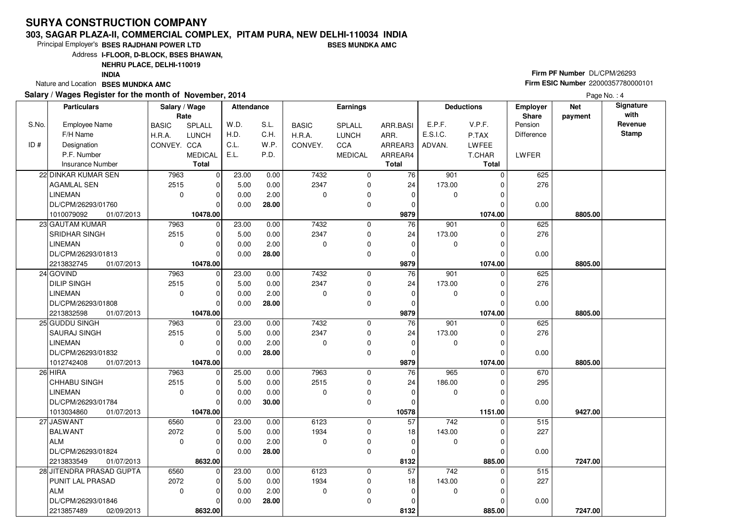#### **303, SAGAR PLAZA-II, COMMERCIAL COMPLEX, PITAM PURA, NEW DELHI-110034 INDIABSES MUNDKA AMC**

Principal Employer's**BSES RAJDHANI POWER LTD**

Address**I-FLOOR, D-BLOCK, BSES BHAWAN,**

**NEHRU PLACE, DELHI-110019**

**INDIA**

Nature and Location **BSES MUNDKA AMC** 

#### **Salary / Wages Register for the month of November, 2014**

# **Firm PF Number** DL/CPM/26293 **Firm ESIC Number** <sup>22000357780000101</sup>

|       | <b>Particulars</b>       | Salary / Wage<br>Rate |                | Attendance |       |              | Earnings       |              |                  | <b>Deductions</b> | <b>Employer</b><br>Share | <b>Net</b><br>payment | Signature<br>with |
|-------|--------------------------|-----------------------|----------------|------------|-------|--------------|----------------|--------------|------------------|-------------------|--------------------------|-----------------------|-------------------|
| S.No. | <b>Employee Name</b>     | <b>BASIC</b>          | SPLALL         | W.D.       | S.L.  | <b>BASIC</b> | SPLALL         | ARR.BASI     | E.P.F.           | V.P.F.            | Pension                  |                       | Revenue           |
|       | F/H Name                 | H.R.A.                | <b>LUNCH</b>   | H.D.       | C.H.  | H.R.A.       | <b>LUNCH</b>   | ARR.         | E.S.I.C.         | P.TAX             | Difference               |                       | <b>Stamp</b>      |
| ID#   | Designation              | CONVEY. CCA           |                | C.L.       | W.P.  | CONVEY.      | CCA            | ARREAR3      | ADVAN.           | <b>LWFEE</b>      |                          |                       |                   |
|       | P.F. Number              |                       | <b>MEDICAL</b> | E.L.       | P.D.  |              | <b>MEDICAL</b> | ARREAR4      |                  | T.CHAR            | LWFER                    |                       |                   |
|       | Insurance Number         |                       | <b>Total</b>   |            |       |              |                | <b>Total</b> |                  | <b>Total</b>      |                          |                       |                   |
|       | 22 DINKAR KUMAR SEN      | 7963                  | $\mathbf 0$    | 23.00      | 0.00  | 7432         | 0              | 76           | $\overline{901}$ | $\Omega$          | 625                      |                       |                   |
|       | <b>AGAMLAL SEN</b>       | 2515                  | $\mathbf 0$    | 5.00       | 0.00  | 2347         | 0              | 24           | 173.00           | 0                 | 276                      |                       |                   |
|       | <b>LINEMAN</b>           | $\mathbf 0$           | $\mathbf 0$    | 0.00       | 2.00  | $\mathbf 0$  | 0              | $\mathbf 0$  | 0                | 0                 |                          |                       |                   |
|       | DL/CPM/26293/01760       |                       | $\Omega$       | 0.00       | 28.00 |              | 0              | $\Omega$     |                  | U                 | 0.00                     |                       |                   |
|       | 01/07/2013<br>1010079092 |                       | 10478.00       |            |       |              |                | 9879         |                  | 1074.00           |                          | 8805.00               |                   |
|       | 23 GAUTAM KUMAR          | 7963                  | $\mathbf 0$    | 23.00      | 0.00  | 7432         | 0              | 76           | 901              | $\Omega$          | 625                      |                       |                   |
|       | SRIDHAR SINGH            | 2515                  | $\mathbf 0$    | 5.00       | 0.00  | 2347         | 0              | 24           | 173.00           | $\Omega$          | 276                      |                       |                   |
|       | <b>LINEMAN</b>           | $\mathbf 0$           | $\mathbf 0$    | 0.00       | 2.00  | $\mathbf 0$  | 0              | $\mathbf 0$  | 0                | $\Omega$          |                          |                       |                   |
|       | DL/CPM/26293/01813       |                       | $\Omega$       | 0.00       | 28.00 |              | 0              | $\Omega$     |                  | U                 | 0.00                     |                       |                   |
|       | 2213832745<br>01/07/2013 |                       | 10478.00       |            |       |              |                | 9879         |                  | 1074.00           |                          | 8805.00               |                   |
|       | 24 GOVIND                | 7963                  | $\mathbf 0$    | 23.00      | 0.00  | 7432         | 0              | 76           | 901              | $\Omega$          | 625                      |                       |                   |
|       | <b>DILIP SINGH</b>       | 2515                  | 0              | 5.00       | 0.00  | 2347         | 0              | 24           | 173.00           | 0                 | 276                      |                       |                   |
|       | <b>LINEMAN</b>           | $\mathbf 0$           | $\mathbf 0$    | 0.00       | 2.00  | $\mathbf 0$  | 0              | $\mathbf{0}$ | 0                | $\Omega$          |                          |                       |                   |
|       | DL/CPM/26293/01808       |                       | $\Omega$       | 0.00       | 28.00 |              | 0              | $\Omega$     |                  | U                 | 0.00                     |                       |                   |
|       | 01/07/2013<br>2213832598 |                       | 10478.00       |            |       |              |                | 9879         |                  | 1074.00           |                          | 8805.00               |                   |
|       | 25 GUDDU SINGH           | 7963                  | $\overline{0}$ | 23.00      | 0.00  | 7432         | 0              | 76           | 901              | $\Omega$          | 625                      |                       |                   |
|       | <b>SAURAJ SINGH</b>      | 2515                  | $\mathbf 0$    | 5.00       | 0.00  | 2347         | 0              | 24           | 173.00           | 0                 | 276                      |                       |                   |
|       | <b>LINEMAN</b>           | $\mathbf 0$           | $\mathbf 0$    | 0.00       | 2.00  | $\mathbf 0$  | 0              | $\mathbf{0}$ | 0                | 0                 |                          |                       |                   |
|       | DL/CPM/26293/01832       |                       | $\Omega$       | 0.00       | 28.00 |              | 0              | $\Omega$     |                  | 0                 | 0.00                     |                       |                   |
|       | 1012742408<br>01/07/2013 |                       | 10478.00       |            |       |              |                | 9879         |                  | 1074.00           |                          | 8805.00               |                   |
|       | 26 HIRA                  | 7963                  | $\overline{0}$ | 25.00      | 0.00  | 7963         | 0              | 76           | 965              | $\Omega$          | 670                      |                       |                   |
|       | CHHABU SINGH             | 2515                  | $\mathbf 0$    | 5.00       | 0.00  | 2515         | 0              | 24           | 186.00           | 0                 | 295                      |                       |                   |
|       | <b>LINEMAN</b>           | $\mathbf 0$           | $\mathbf 0$    | 0.00       | 0.00  | 0            | 0              | $\mathbf 0$  | 0                | 0                 |                          |                       |                   |
|       | DL/CPM/26293/01784       |                       | $\Omega$       | 0.00       | 30.00 |              | 0              | $\Omega$     |                  | O                 | 0.00                     |                       |                   |
|       | 1013034860<br>01/07/2013 |                       | 10478.00       |            |       |              |                | 10578        |                  | 1151.00           |                          | 9427.00               |                   |
|       | 27 JASWANT               | 6560                  | $\overline{0}$ | 23.00      | 0.00  | 6123         | 0              | 57           | 742              | $\Omega$          | 515                      |                       |                   |
|       | BALWANT                  | 2072                  | $\Omega$       | 5.00       | 0.00  | 1934         | 0              | 18           | 143.00           | $\Omega$          | 227                      |                       |                   |
|       | ALM                      | $\mathbf 0$           | $\mathbf 0$    | 0.00       | 2.00  | $\mathbf 0$  | 0              | $\Omega$     | 0                | $\Omega$          |                          |                       |                   |
|       | DL/CPM/26293/01824       |                       | $\Omega$       | 0.00       | 28.00 |              | 0              | $\Omega$     |                  | $\Omega$          | 0.00                     |                       |                   |
|       | 2213833549<br>01/07/2013 |                       | 8632.00        |            |       |              |                | 8132         |                  | 885.00            |                          | 7247.00               |                   |
|       | 28 JITENDRA PRASAD GUPTA | 6560                  | 0              | 23.00      | 0.00  | 6123         | 0              | 57           | 742              | 0                 | 515                      |                       |                   |
|       | PUNIT LAL PRASAD         | 2072                  | $\Omega$       | 5.00       | 0.00  | 1934         | 0              | 18           | 143.00           | $\Omega$          | 227                      |                       |                   |
|       | <b>ALM</b>               | $\mathbf 0$           | $\mathbf 0$    | 0.00       | 2.00  | $\mathbf 0$  | 0              | 0            | 0                | $\Omega$          |                          |                       |                   |
|       | DL/CPM/26293/01846       |                       | $\Omega$       | 0.00       | 28.00 |              | 0              | $\Omega$     |                  | 0                 | 0.00                     |                       |                   |
|       | 2213857489<br>02/09/2013 |                       | 8632.00        |            |       |              |                | 8132         |                  | 885.00            |                          | 7247.00               |                   |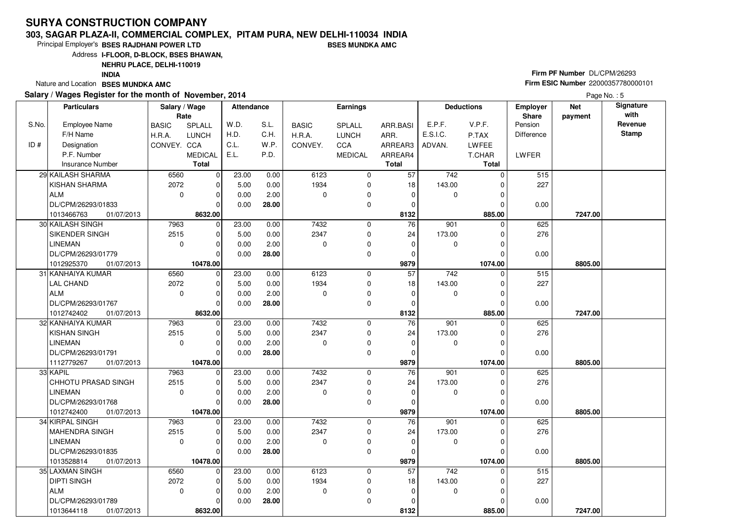#### **303, SAGAR PLAZA-II, COMMERCIAL COMPLEX, PITAM PURA, NEW DELHI-110034 INDIABSES MUNDKA AMC**

Principal Employer's**BSES RAJDHANI POWER LTD**

Address**I-FLOOR, D-BLOCK, BSES BHAWAN,**

**NEHRU PLACE, DELHI-110019**

**INDIA**

Nature and Location **BSES MUNDKA AMC** 

#### **Salary / Wages Register for the month of November, 2014**

# **Firm PF Number** DL/CPM/26293 **Firm ESIC Number** <sup>22000357780000101</sup>

Page No.: 5

|       | <b>Particulars</b>                          | Salary / Wage<br>Rate |                         | <b>Attendance</b> |       |              | <b>Earnings</b> |                 |                  | <b>Deductions</b>   | <b>Employer</b><br>Share | <b>Net</b><br>payment | Signature<br>with |
|-------|---------------------------------------------|-----------------------|-------------------------|-------------------|-------|--------------|-----------------|-----------------|------------------|---------------------|--------------------------|-----------------------|-------------------|
| S.No. | <b>Employee Name</b>                        | <b>BASIC</b>          | SPLALL                  | W.D.              | S.L.  | <b>BASIC</b> | SPLALL          | ARR.BASI        | E.P.F.           | V.P.F.              | Pension                  |                       | Revenue           |
|       | F/H Name                                    | H.R.A.                | <b>LUNCH</b>            | H.D.              | C.H.  | H.R.A.       | <b>LUNCH</b>    | ARR.            | E.S.I.C.         | P.TAX               | Difference               |                       | <b>Stamp</b>      |
| ID#   | Designation                                 | CONVEY. CCA           |                         | C.L.              | W.P.  | CONVEY.      | CCA             | ARREAR3         | ADVAN.           | <b>LWFEE</b>        |                          |                       |                   |
|       | P.F. Number                                 |                       | <b>MEDICAL</b>          | E.L.              | P.D.  |              | <b>MEDICAL</b>  | ARREAR4         |                  | T.CHAR              | LWFER                    |                       |                   |
|       | <b>Insurance Number</b>                     |                       | <b>Total</b>            |                   |       |              |                 | <b>Total</b>    |                  | <b>Total</b>        |                          |                       |                   |
|       | 29 KAILASH SHARMA                           | 6560                  | $\mathbf 0$             | 23.00             | 0.00  | 6123         | $\mathbf 0$     | 57              | 742              | $\Omega$            | 515                      |                       |                   |
|       | <b>KISHAN SHARMA</b>                        | 2072                  | $\mathbf 0$             | 5.00              | 0.00  | 1934         | 0               | 18              | 143.00           |                     | 227                      |                       |                   |
|       | ALM                                         | $\mathbf{0}$          | $\mathbf 0$             | 0.00              | 2.00  | 0            | 0               | $\mathbf 0$     | $\mathbf 0$      | $\Omega$            |                          |                       |                   |
|       | DL/CPM/26293/01833                          |                       | $\Omega$                | 0.00              | 28.00 |              | 0               | 0               |                  |                     | 0.00                     |                       |                   |
|       | 01/07/2013<br>1013466763                    |                       | 8632.00                 |                   |       |              |                 | 8132            |                  | 885.00              |                          | 7247.00               |                   |
|       | 30 KAILASH SINGH                            | 7963                  | $\Omega$                | 23.00             | 0.00  | 7432         | $\mathbf 0$     | $\overline{76}$ | $\overline{901}$ | $\Omega$            | 625                      |                       |                   |
|       | SIKENDER SINGH                              | 2515                  | $\mathbf 0$             | 5.00              | 0.00  | 2347         | 0               | 24              | 173.00           |                     | 276                      |                       |                   |
|       | <b>LINEMAN</b>                              | $\mathbf 0$           | $\mathbf 0$             | 0.00              | 2.00  | 0            | 0               | $\mathbf 0$     | 0                | 0                   |                          |                       |                   |
|       | DL/CPM/26293/01779                          |                       | $\Omega$                | 0.00              | 28.00 |              | $\mathbf 0$     | $\Omega$        |                  | $\Omega$            | 0.00                     |                       |                   |
|       | 01/07/2013<br>1012925370                    |                       | 10478.00                |                   |       |              |                 | 9879            |                  | 1074.00             |                          | 8805.00               |                   |
|       | 31 KANHAIYA KUMAR                           | 6560                  | $\mathbf 0$             | 23.00             | 0.00  | 6123         | $\mathbf 0$     | $\overline{57}$ | 742              | $\Omega$            | 515                      |                       |                   |
|       | <b>LAL CHAND</b>                            | 2072                  | $\mathbf 0$             | 5.00              | 0.00  | 1934         | 0               | 18              | 143.00           | 0                   | 227                      |                       |                   |
|       | ALM                                         | $\mathbf 0$           | $\mathbf 0$             | 0.00              | 2.00  | 0            | 0               | $\mathbf 0$     | 0                | $\Omega$            |                          |                       |                   |
|       | DL/CPM/26293/01767                          |                       | $\Omega$                | 0.00              | 28.00 |              | $\mathbf 0$     | $\Omega$        |                  |                     | 0.00                     |                       |                   |
|       | 1012742402<br>01/07/2013                    |                       | 8632.00                 |                   |       |              |                 | 8132            |                  | 885.00              |                          | 7247.00               |                   |
|       | 32 KANHAIYA KUMAR                           | 7963                  | $\mathbf 0$             | 23.00             | 0.00  | 7432         | 0               | $\overline{76}$ | 901              | $\Omega$            | 625                      |                       |                   |
|       | <b>KISHAN SINGH</b>                         | 2515                  | 0                       | 5.00              | 0.00  | 2347         | 0               | 24              | 173.00           | $\Omega$            | 276                      |                       |                   |
|       | <b>LINEMAN</b>                              | $\mathbf 0$           | $\mathbf 0$             | 0.00              | 2.00  | $\Omega$     | $\mathbf 0$     | 0               | 0                | $\Omega$            |                          |                       |                   |
|       | DL/CPM/26293/01791                          |                       | $\Omega$                | 0.00              | 28.00 |              | $\mathbf 0$     | 0               |                  |                     | 0.00                     |                       |                   |
|       | 1112779267<br>01/07/2013                    |                       | 10478.00                |                   |       |              |                 | 9879            |                  | 1074.00             |                          | 8805.00               |                   |
|       | 33 KAPIL                                    | 7963                  | $\mathbf 0$             | 23.00             | 0.00  | 7432         | 0               | 76              | 901              | $\Omega$            | 625                      |                       |                   |
|       | <b>CHHOTU PRASAD SINGH</b>                  | 2515                  | $\mathbf 0$             | 5.00              | 0.00  | 2347         | 0               | 24              | 173.00           | $\Omega$            | 276                      |                       |                   |
|       | <b>LINEMAN</b>                              | $\mathbf 0$           | $\mathbf 0$<br>$\Omega$ | 0.00              | 2.00  | $\Omega$     | 0               | 0               | 0                | $\Omega$            |                          |                       |                   |
|       | DL/CPM/26293/01768                          |                       |                         | 0.00              | 28.00 |              | $\mathbf 0$     | $\mathbf 0$     |                  | <sup>0</sup>        | 0.00                     |                       |                   |
|       | 01/07/2013<br>1012742400<br>34 KIRPAL SINGH | 7963                  | 10478.00<br>$\mathbf 0$ | 23.00             | 0.00  | 7432         | 0               | 9879<br>76      | 901              | 1074.00<br>$\Omega$ | 625                      | 8805.00               |                   |
|       | MAHENDRA SINGH                              | 2515                  | $\mathbf 0$             | 5.00              | 0.00  | 2347         | 0               | 24              | 173.00           | O                   | 276                      |                       |                   |
|       | LINEMAN                                     | $\mathbf 0$           | $\Omega$                | 0.00              | 2.00  | $\Omega$     | 0               | $\mathbf 0$     | 0                | $\Omega$            |                          |                       |                   |
|       | DL/CPM/26293/01835                          |                       | $\Omega$                | 0.00              | 28.00 |              | 0               | $\mathbf 0$     |                  | $\Omega$            | 0.00                     |                       |                   |
|       | 1013528814<br>01/07/2013                    |                       | 10478.00                |                   |       |              |                 | 9879            |                  | 1074.00             |                          | 8805.00               |                   |
|       | 35 LAXMAN SINGH                             | 6560                  | $\mathbf 0$             | 23.00             | 0.00  | 6123         | 0               | $\overline{57}$ | 742              | $\Omega$            | 515                      |                       |                   |
|       | DIPTI SINGH                                 | 2072                  | $\mathbf 0$             | 5.00              | 0.00  | 1934         | 0               | 18              | 143.00           | 0                   | 227                      |                       |                   |
|       | ALM                                         | $\mathbf 0$           | $\Omega$                | 0.00              | 2.00  | $\Omega$     | 0               | 0               | 0                |                     |                          |                       |                   |
|       | DL/CPM/26293/01789                          |                       | $\Omega$                | 0.00              | 28.00 |              | $\mathbf 0$     | 0               |                  |                     | 0.00                     |                       |                   |
|       | 1013644118<br>01/07/2013                    |                       | 8632.00                 |                   |       |              |                 | 8132            |                  | 885.00              |                          | 7247.00               |                   |
|       |                                             |                       |                         |                   |       |              |                 |                 |                  |                     |                          |                       |                   |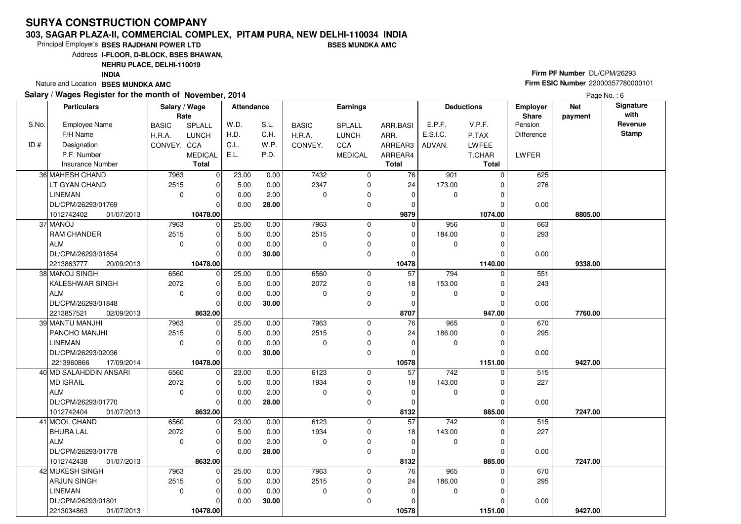#### **303, SAGAR PLAZA-II, COMMERCIAL COMPLEX, PITAM PURA, NEW DELHI-110034 INDIABSES MUNDKA AMC**

Principal Employer's**BSES RAJDHANI POWER LTD**

Address**I-FLOOR, D-BLOCK, BSES BHAWAN,**

**NEHRU PLACE, DELHI-110019**

**INDIA**

Nature and Location **BSES MUNDKA AMC** 

#### **Salary / Wages Register for the month of November, 2014**

# **Firm PF Number** DL/CPM/26293 **Firm ESIC Number** <sup>22000357780000101</sup>

|       | <b>Particulars</b>       | Salary / Wage<br>Rate |                | Attendance |       |              | <b>Earnings</b> |                 |                  | <b>Deductions</b> | Employer<br>Share | <b>Net</b><br>payment | Signature<br>with |
|-------|--------------------------|-----------------------|----------------|------------|-------|--------------|-----------------|-----------------|------------------|-------------------|-------------------|-----------------------|-------------------|
| S.No. | <b>Employee Name</b>     | <b>BASIC</b>          | SPLALL         | W.D.       | S.L.  | <b>BASIC</b> | SPLALL          | ARR.BASI        | E.P.F.           | V.P.F.            | Pension           |                       | Revenue           |
|       | F/H Name                 | H.R.A.                | <b>LUNCH</b>   | H.D.       | C.H.  | H.R.A.       | <b>LUNCH</b>    | ARR.            | E.S.I.C.         | P.TAX             | <b>Difference</b> |                       | <b>Stamp</b>      |
| ID#   | Designation              | CONVEY. CCA           |                | C.L.       | W.P.  | CONVEY.      | CCA             | ARREAR3         | ADVAN.           | LWFEE             |                   |                       |                   |
|       | P.F. Number              |                       | <b>MEDICAL</b> | E.L.       | P.D.  |              | <b>MEDICAL</b>  | ARREAR4         |                  | T.CHAR            | LWFER             |                       |                   |
|       | <b>Insurance Number</b>  |                       | <b>Total</b>   |            |       |              |                 | <b>Total</b>    |                  | Total             |                   |                       |                   |
|       | 36 MAHESH CHAND          | 7963                  | $\mathbf 0$    | 23.00      | 0.00  | 7432         | $\mathbf 0$     | 76              | 901              | $\Omega$          | 625               |                       |                   |
|       | LT GYAN CHAND            | 2515                  | $\mathbf 0$    | 5.00       | 0.00  | 2347         | 0               | 24              | 173.00           | O                 | 276               |                       |                   |
|       | <b>LINEMAN</b>           | $\mathbf 0$           | $\mathbf 0$    | 0.00       | 2.00  | 0            | $\mathbf 0$     | $\mathbf 0$     | 0                |                   |                   |                       |                   |
|       | DL/CPM/26293/01769       |                       | $\Omega$       | 0.00       | 28.00 |              | 0               | 0               |                  |                   | 0.00              |                       |                   |
|       | 1012742402<br>01/07/2013 |                       | 10478.00       |            |       |              |                 | 9879            |                  | 1074.00           |                   | 8805.00               |                   |
|       | 37 MANOJ                 | 7963                  | $\mathbf 0$    | 25.00      | 0.00  | 7963         | 0               | $\Omega$        | 956              | 0                 | 663               |                       |                   |
|       | RAM CHANDER              | 2515                  | $\mathbf 0$    | 5.00       | 0.00  | 2515         | $\mathbf 0$     | $\Omega$        | 184.00           | 0                 | 293               |                       |                   |
|       | <b>ALM</b>               | $\mathbf 0$           | $\mathbf 0$    | 0.00       | 0.00  | 0            | 0               | 0               | 0                | O                 |                   |                       |                   |
|       | DL/CPM/26293/01854       |                       | $\Omega$       | 0.00       | 30.00 |              | $\mathbf 0$     | $\Omega$        |                  | $\Omega$          | 0.00              |                       |                   |
|       | 2213863777<br>20/09/2013 |                       | 10478.00       |            |       |              |                 | 10478           |                  | 1140.00           |                   | 9338.00               |                   |
|       | 38 MANOJ SINGH           | 6560                  | $\mathbf 0$    | 25.00      | 0.00  | 6560         | 0               | $\overline{57}$ | 794              | $\Omega$          | 551               |                       |                   |
|       | KALESHWAR SINGH          | 2072                  | 0              | 5.00       | 0.00  | 2072         | 0               | 18              | 153.00           | 0                 | 243               |                       |                   |
|       | <b>ALM</b>               | $\mathbf 0$           | $\mathbf 0$    | 0.00       | 0.00  | $\Omega$     | 0               | $\Omega$        | 0                | $\Omega$          |                   |                       |                   |
|       | DL/CPM/26293/01848       |                       | $\mathbf 0$    | 0.00       | 30.00 |              | 0               | 0               |                  | 0                 | 0.00              |                       |                   |
|       | 2213857521<br>02/09/2013 |                       | 8632.00        |            |       |              |                 | 8707            |                  | 947.00            |                   | 7760.00               |                   |
|       | <b>39 MANTU MANJHI</b>   | 7963                  | $\mathbf 0$    | 25.00      | 0.00  | 7963         | 0               | 76              | 965              | 0                 | 670               |                       |                   |
|       | PANCHO MANJHI            | 2515                  | $\mathbf 0$    | 5.00       | 0.00  | 2515         | $\mathbf 0$     | 24              | 186.00           |                   | 295               |                       |                   |
|       | <b>LINEMAN</b>           | $\mathbf 0$           | $\Omega$       | 0.00       | 0.00  | 0            | 0               | $\mathbf 0$     | 0                | O                 |                   |                       |                   |
|       | DL/CPM/26293/02036       |                       | $\Omega$       | 0.00       | 30.00 |              | $\mathbf 0$     | $\Omega$        |                  |                   | 0.00              |                       |                   |
|       | 2213960866<br>17/09/2014 |                       | 10478.00       |            |       |              |                 | 10578           |                  | 1151.00           |                   | 9427.00               |                   |
|       | 40 MD SALAHDDIN ANSARI   | 6560                  | $\mathbf 0$    | 23.00      | 0.00  | 6123         | 0               | 57              | $\overline{742}$ |                   | 515               |                       |                   |
|       | <b>MD ISRAIL</b>         | 2072                  | 0              | 5.00       | 0.00  | 1934         | 0               | 18              | 143.00           | O                 | 227               |                       |                   |
|       | <b>ALM</b>               | $\mathbf 0$           | $\mathbf 0$    | 0.00       | 2.00  | $\Omega$     | 0               | $\mathbf 0$     | 0                | $\Omega$          |                   |                       |                   |
|       | DL/CPM/26293/01770       |                       | $\mathbf 0$    | 0.00       | 28.00 |              | 0               | 0               |                  | O                 | 0.00              |                       |                   |
|       | 1012742404<br>01/07/2013 |                       | 8632.00        |            |       |              |                 | 8132            |                  | 885.00            |                   | 7247.00               |                   |
|       | 41 MOOL CHAND            | 6560                  | $\mathbf 0$    | 23.00      | 0.00  | 6123         | 0               | 57              | 742              | $\Omega$          | 515               |                       |                   |
|       | <b>BHURA LAL</b>         | 2072                  | $\mathbf 0$    | 5.00       | 0.00  | 1934         | 0               | 18              | 143.00           | $\Omega$          | 227               |                       |                   |
|       | <b>ALM</b>               | $\mathbf 0$           | $\Omega$       | 0.00       | 2.00  | $\Omega$     | 0               | 0               | 0                |                   |                   |                       |                   |
|       | DL/CPM/26293/01778       |                       | $\Omega$       | 0.00       | 28.00 |              | 0               | $\Omega$        |                  | O                 | 0.00              |                       |                   |
|       | 1012742438<br>01/07/2013 |                       | 8632.00        |            |       |              |                 | 8132            |                  | 885.00            |                   | 7247.00               |                   |
|       | 42 MUKESH SINGH          | 7963                  | $\mathbf 0$    | 25.00      | 0.00  | 7963         | $\mathbf 0$     | $\overline{76}$ | 965              | $\Omega$          | 670               |                       |                   |
|       | <b>ARJUN SINGH</b>       | 2515                  | 0              | 5.00       | 0.00  | 2515         | $\pmb{0}$       | 24              | 186.00           |                   | 295               |                       |                   |
|       | <b>LINEMAN</b>           | $\mathbf 0$           | $\Omega$       | 0.00       | 0.00  | 0            | 0               | $\mathbf 0$     | 0                | 0                 |                   |                       |                   |
|       | DL/CPM/26293/01801       |                       | $\mathbf 0$    | 0.00       | 30.00 |              | 0               | 0               |                  |                   | 0.00              |                       |                   |
|       | 2213034863<br>01/07/2013 |                       | 10478.00       |            |       |              |                 | 10578           |                  | 1151.00           |                   | 9427.00               |                   |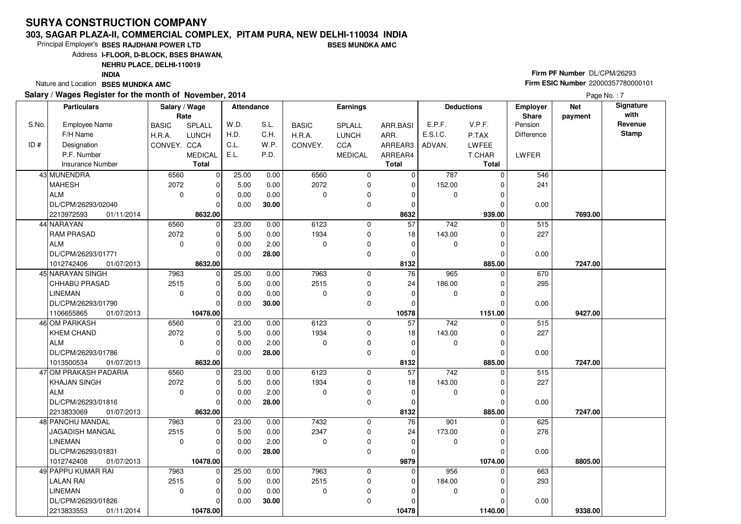#### **303, SAGAR PLAZA-II, COMMERCIAL COMPLEX, PITAM PURA, NEW DELHI-110034 INDIABSES MUNDKA AMC**

Principal Employer's**BSES RAJDHANI POWER LTD**

Address**I-FLOOR, D-BLOCK, BSES BHAWAN,**

### **NEHRU PLACE, DELHI-110019**

**INDIA**

Nature and Location **BSES MUNDKA AMC** 

#### **Salary / Wages Register for the month of November, 2014**

# **Firm PF Number** DL/CPM/26293 **Firm ESIC Number** <sup>22000357780000101</sup>

|       | <b>Particulars</b>       | Salary / Wage<br>Rate |                | Attendance |       |              | <b>Earnings</b> |                 |                  | <b>Deductions</b> | Employer<br>Share | <b>Net</b><br>payment | Signature<br>with |
|-------|--------------------------|-----------------------|----------------|------------|-------|--------------|-----------------|-----------------|------------------|-------------------|-------------------|-----------------------|-------------------|
| S.No. | <b>Employee Name</b>     | <b>BASIC</b>          | SPLALL         | W.D.       | S.L.  | <b>BASIC</b> | SPLALL          | ARR.BASI        | E.P.F.           | V.P.F.            | Pension           |                       | Revenue           |
|       | F/H Name                 | H.R.A.                | <b>LUNCH</b>   | H.D.       | C.H.  | H.R.A.       | <b>LUNCH</b>    | ARR.            | E.S.I.C.         | P.TAX             | <b>Difference</b> |                       | <b>Stamp</b>      |
| ID#   | Designation              | CONVEY. CCA           |                | C.L.       | W.P.  | CONVEY.      | CCA             | ARREAR3         | ADVAN.           | LWFEE             |                   |                       |                   |
|       | P.F. Number              |                       | <b>MEDICAL</b> | E.L.       | P.D.  |              | <b>MEDICAL</b>  | ARREAR4         |                  | T.CHAR            | LWFER             |                       |                   |
|       | Insurance Number         |                       | <b>Total</b>   |            |       |              |                 | <b>Total</b>    |                  | Total             |                   |                       |                   |
|       | 43 MUNENDRA              | 6560                  | $\mathbf 0$    | 25.00      | 0.00  | 6560         | $\mathbf 0$     | $\mathbf 0$     | 787              | $\Omega$          | 546               |                       |                   |
|       | <b>MAHESH</b>            | 2072                  | 0              | 5.00       | 0.00  | 2072         | 0               | $\mathbf 0$     | 152.00           | O                 | 241               |                       |                   |
|       | <b>ALM</b>               | $\mathbf 0$           | $\mathbf 0$    | 0.00       | 0.00  | 0            | 0               | 0               | 0                | $\Omega$          |                   |                       |                   |
|       | DL/CPM/26293/02040       |                       | $\Omega$       | 0.00       | 30.00 |              | 0               | 0               |                  | 0                 | 0.00              |                       |                   |
|       | 2213972593<br>01/11/2014 |                       | 8632.00        |            |       |              |                 | 8632            |                  | 939.00            |                   | 7693.00               |                   |
|       | 44 NARAYAN               | 6560                  | $\mathbf 0$    | 23.00      | 0.00  | 6123         | 0               | 57              | 742              | 0                 | 515               |                       |                   |
|       | <b>RAM PRASAD</b>        | 2072                  | $\mathbf 0$    | 5.00       | 0.00  | 1934         | $\mathbf 0$     | 18              | 143.00           | 0                 | 227               |                       |                   |
|       | <b>ALM</b>               | $\mathbf 0$           | $\mathbf 0$    | 0.00       | 2.00  | 0            | 0               | $\mathbf 0$     | 0                | 0                 |                   |                       |                   |
|       | DL/CPM/26293/01771       |                       | $\Omega$       | 0.00       | 28.00 |              | 0               | $\mathbf 0$     |                  | $\Omega$          | 0.00              |                       |                   |
|       | 1012742406<br>01/07/2013 |                       | 8632.00        |            |       |              |                 | 8132            |                  | 885.00            |                   | 7247.00               |                   |
|       | 45 NARAYAN SINGH         | 7963                  | $\mathbf 0$    | 25.00      | 0.00  | 7963         | 0               | 76              | 965              | $\Omega$          | 670               |                       |                   |
|       | CHHABU PRASAD            | 2515                  | 0              | 5.00       | 0.00  | 2515         | 0               | 24              | 186.00           | 0                 | 295               |                       |                   |
|       | <b>LINEMAN</b>           | $\mathbf 0$           | $\mathbf 0$    | 0.00       | 0.00  | $\Omega$     | 0               | $\mathbf 0$     | 0                | $\Omega$          |                   |                       |                   |
|       | DL/CPM/26293/01790       |                       | $\mathbf 0$    | 0.00       | 30.00 |              | 0               | 0               |                  | 0                 | 0.00              |                       |                   |
|       | 1106655865<br>01/07/2013 |                       | 10478.00       |            |       |              |                 | 10578           |                  | 1151.00           |                   | 9427.00               |                   |
|       | 46 OM PARKASH            | 6560                  | $\mathbf 0$    | 23.00      | 0.00  | 6123         | 0               | $\overline{57}$ | 742              | 0                 | 515               |                       |                   |
|       | <b>KHEM CHAND</b>        | 2072                  | $\mathbf 0$    | 5.00       | 0.00  | 1934         | 0               | 18              | 143.00           | 0                 | 227               |                       |                   |
|       | <b>ALM</b>               | $\mathbf 0$           | $\Omega$       | 0.00       | 2.00  | 0            | 0               | $\mathbf 0$     | 0                | 0                 |                   |                       |                   |
|       | DL/CPM/26293/01786       |                       | $\Omega$       | 0.00       | 28.00 |              | $\mathbf 0$     | $\mathbf 0$     |                  |                   | 0.00              |                       |                   |
|       | 01/07/2013<br>1013500534 |                       | 8632.00        |            |       |              |                 | 8132            |                  | 885.00            |                   | 7247.00               |                   |
|       | 47 OM PRAKASH PADARIA    | 6560                  | $\mathbf 0$    | 23.00      | 0.00  | 6123         | 0               | 57              | $\overline{742}$ |                   | 515               |                       |                   |
|       | <b>KHAJAN SINGH</b>      | 2072                  | 0              | 5.00       | 0.00  | 1934         | 0               | 18              | 143.00           | O                 | 227               |                       |                   |
|       | <b>ALM</b>               | $\mathbf 0$           | $\mathbf 0$    | 0.00       | 2.00  | $\Omega$     | 0               | $\mathbf 0$     | 0                | $\Omega$          |                   |                       |                   |
|       | DL/CPM/26293/01816       |                       | $\mathbf 0$    | 0.00       | 28.00 |              | 0               | 0               |                  | O                 | 0.00              |                       |                   |
|       | 2213833069<br>01/07/2013 |                       | 8632.00        |            |       |              |                 | 8132            |                  | 885.00            |                   | 7247.00               |                   |
|       | 48 PANCHU MANDAL         | 7963                  | $\mathbf 0$    | 23.00      | 0.00  | 7432         | 0               | 76              | 901              | $\Omega$          | 625               |                       |                   |
|       | JAGADISH MANGAL          | 2515                  | $\mathbf 0$    | 5.00       | 0.00  | 2347         | 0               | 24              | 173.00           | 0                 | 276               |                       |                   |
|       | <b>LINEMAN</b>           | $\mathbf 0$           | $\Omega$       | 0.00       | 2.00  | $\Omega$     | 0               | $\mathbf 0$     | 0                |                   |                   |                       |                   |
|       | DL/CPM/26293/01831       |                       | $\Omega$       | 0.00       | 28.00 |              | 0               | $\Omega$        |                  | O                 | 0.00              |                       |                   |
|       | 1012742408<br>01/07/2013 |                       | 10478.00       |            |       |              |                 | 9879            |                  | 1074.00           |                   | 8805.00               |                   |
|       | 49 PAPPU KUMAR RAI       | 7963                  | $\mathbf 0$    | 25.00      | 0.00  | 7963         | $\mathbf 0$     | $\Omega$        | 956              | 0                 | 663               |                       |                   |
|       | <b>LALAN RAI</b>         | 2515                  | 0              | 5.00       | 0.00  | 2515         | $\pmb{0}$       | 0               | 184.00           |                   | 293               |                       |                   |
|       | <b>LINEMAN</b>           | $\mathbf 0$           | $\Omega$       | 0.00       | 0.00  | 0            | 0               | 0               | 0                | 0                 |                   |                       |                   |
|       | DL/CPM/26293/01826       |                       | $\mathbf 0$    | 0.00       | 30.00 |              | 0               | 0               |                  |                   | 0.00              |                       |                   |
|       | 2213833553<br>01/11/2014 |                       | 10478.00       |            |       |              |                 | 10478           |                  | 1140.00           |                   | 9338.00               |                   |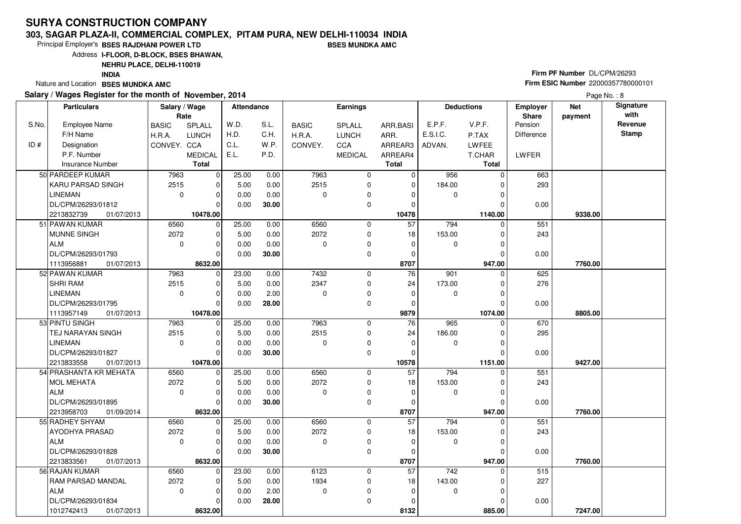#### **303, SAGAR PLAZA-II, COMMERCIAL COMPLEX, PITAM PURA, NEW DELHI-110034 INDIABSES MUNDKA AMC**

Principal Employer's**BSES RAJDHANI POWER LTD**

Address**I-FLOOR, D-BLOCK, BSES BHAWAN,**

**NEHRU PLACE, DELHI-110019**

**INDIA**

Nature and Location **BSES MUNDKA AMC** 

#### **Salary / Wages Register for the month of November, 2014**

# **Firm PF Number** DL/CPM/26293 **Firm ESIC Number** <sup>22000357780000101</sup>

|       | <b>Particulars</b>                          | Salary / Wage<br>Rate |                        | <b>Attendance</b> |              |              | Earnings       |                 |                  | <b>Deductions</b>  | <b>Employer</b><br>Share | <b>Net</b><br>payment | Signature<br>with |
|-------|---------------------------------------------|-----------------------|------------------------|-------------------|--------------|--------------|----------------|-----------------|------------------|--------------------|--------------------------|-----------------------|-------------------|
| S.No. | <b>Employee Name</b>                        | <b>BASIC</b>          | SPLALL                 | W.D.              | S.L.         | <b>BASIC</b> | <b>SPLALL</b>  | ARR.BASI        | E.P.F.           | V.P.F.             | Pension                  |                       | Revenue           |
|       | F/H Name                                    | H.R.A.                | LUNCH                  | H.D.              | C.H.         | H.R.A.       | <b>LUNCH</b>   | ARR.            | E.S.I.C.         | P.TAX              | Difference               |                       | <b>Stamp</b>      |
| ID#   | Designation                                 | CONVEY. CCA           |                        | C.L.              | W.P.         | CONVEY.      | CCA            | ARREAR3         | ADVAN.           | LWFEE              |                          |                       |                   |
|       | P.F. Number                                 |                       | <b>MEDICAL</b>         | E.L.              | P.D.         |              | <b>MEDICAL</b> | ARREAR4         |                  | T.CHAR             | <b>LWFER</b>             |                       |                   |
|       | <b>Insurance Number</b>                     |                       | <b>Total</b>           |                   |              |              |                | <b>Total</b>    |                  | <b>Total</b>       |                          |                       |                   |
|       | 50 PARDEEP KUMAR                            | 7963                  | $\mathbf 0$            | 25.00             | 0.00         | 7963         | $\mathbf 0$    | $\mathbf 0$     | 956              | $\Omega$           | 663                      |                       |                   |
|       | KARU PARSAD SINGH                           | 2515                  | 0                      | 5.00              | 0.00         | 2515         | $\mathbf 0$    | $\Omega$        | 184.00           |                    | 293                      |                       |                   |
|       | <b>LINEMAN</b>                              | $\mathbf 0$           | $\mathbf 0$            | 0.00              | 0.00         | 0            | $\mathbf 0$    | 0               | 0                |                    |                          |                       |                   |
|       | DL/CPM/26293/01812                          |                       | $\Omega$               | 0.00              | 30.00        |              | $\mathbf 0$    | $\Omega$        |                  |                    | 0.00                     |                       |                   |
|       | 2213832739<br>01/07/2013                    |                       | 10478.00               |                   |              |              |                | 10478           |                  | 1140.00            |                          | 9338.00               |                   |
|       | 51 PAWAN KUMAR                              | 6560                  | $\mathbf 0$            | 25.00             | 0.00         | 6560         | $\mathbf 0$    | $\overline{57}$ | 794              | $\Omega$           | 551                      |                       |                   |
|       | MUNNE SINGH                                 | 2072                  | $\mathbf 0$            | 5.00              | 0.00         | 2072         | $\mathbf 0$    | 18              | 153.00           | 0                  | 243                      |                       |                   |
|       | <b>ALM</b>                                  | $\mathbf 0$           | $\mathbf 0$            | 0.00              | 0.00         | 0            | 0              | $\mathbf 0$     | 0                | O                  |                          |                       |                   |
|       | DL/CPM/26293/01793                          |                       | $\Omega$               | 0.00              | 30.00        |              | $\mathbf 0$    | $\mathbf 0$     |                  | $\Omega$           | 0.00                     |                       |                   |
|       | 01/07/2013<br>1113956881                    |                       | 8632.00                |                   |              |              |                | 8707            |                  | 947.00             |                          | 7760.00               |                   |
|       | 52 PAWAN KUMAR                              | 7963                  | 0                      | 23.00             | 0.00         | 7432         | 0              | 76              | 901              | 0                  | 625                      |                       |                   |
|       | <b>SHRI RAM</b>                             | 2515                  | 0                      | 5.00              | 0.00         | 2347         | 0              | 24              | 173.00           | 0                  | 276                      |                       |                   |
|       | <b>LINEMAN</b>                              | $\mathbf 0$           | 0                      | 0.00              | 2.00         | $\Omega$     | $\mathbf 0$    | $\mathbf 0$     | 0                | O                  |                          |                       |                   |
|       | DL/CPM/26293/01795                          |                       | $\Omega$               | 0.00              | 28.00        |              | 0              | 0               |                  | 0                  | 0.00                     |                       |                   |
|       | 01/07/2013<br>1113957149                    |                       | 10478.00               |                   |              |              |                | 9879            |                  | 1074.00            |                          | 8805.00               |                   |
|       | 53 PINTU SINGH                              | 7963                  | $\mathbf 0$            | 25.00             | 0.00         | 7963         | 0              | 76              | 965              | $\Omega$           | 670                      |                       |                   |
|       | TEJ NARAYAN SINGH                           | 2515                  | $\mathbf 0$            | 5.00              | 0.00         | 2515         | $\mathbf 0$    | 24              | 186.00           |                    | 295                      |                       |                   |
|       | <b>LINEMAN</b>                              | $\mathbf 0$           | $\Omega$               | 0.00              | 0.00         | $\Omega$     | 0              | $\mathbf 0$     | 0                | 0                  |                          |                       |                   |
|       | DL/CPM/26293/01827                          |                       | $\Omega$               | 0.00              | 30.00        |              | 0              | 0               |                  | O                  | 0.00                     |                       |                   |
|       | 2213833558<br>01/07/2013                    |                       | 10478.00               |                   |              |              |                | 10578           |                  | 1151.00            |                          | 9427.00               |                   |
|       | 54 PRASHANTA KR MEHATA                      | 6560                  | $\mathbf 0$            | 25.00             | 0.00         | 6560         | $\mathbf 0$    | $\overline{57}$ | 794              | $\Omega$           | 551                      |                       |                   |
|       | <b>MOL MEHATA</b>                           | 2072                  | $\mathbf 0$            | 5.00              | 0.00         | 2072         | 0              | 18              | 153.00           | 0                  | 243                      |                       |                   |
|       | <b>ALM</b>                                  | $\mathbf 0$           | $\Omega$               | 0.00              | 0.00         | $\Omega$     | 0              | $\mathbf 0$     | 0                | $\Omega$           |                          |                       |                   |
|       | DL/CPM/26293/01895                          |                       | $\Omega$               | 0.00              | 30.00        |              | $\mathbf 0$    | 0               |                  |                    | 0.00                     |                       |                   |
|       | 2213958703<br>01/09/2014<br>55 RADHEY SHYAM | 6560                  | 8632.00<br>$\mathbf 0$ | 25.00             |              | 6560         | 0              | 8707<br>57      | 794              | 947.00<br>$\Omega$ | 551                      | 7760.00               |                   |
|       | AYODHYA PRASAD                              | 2072                  | 0                      | 5.00              | 0.00<br>0.00 | 2072         | $\mathbf 0$    | 18              | 153.00           | 0                  | 243                      |                       |                   |
|       | <b>ALM</b>                                  | $\mathbf 0$           | $\Omega$               | 0.00              | 0.00         | 0            | 0              | $\mathbf 0$     | 0                | 0                  |                          |                       |                   |
|       | DL/CPM/26293/01828                          |                       | $\Omega$               | 0.00              | 30.00        |              | $\Omega$       | $\Omega$        |                  | $\Omega$           | 0.00                     |                       |                   |
|       | 2213833561<br>01/07/2013                    |                       | 8632.00                |                   |              |              |                | 8707            |                  | 947.00             |                          | 7760.00               |                   |
|       | 56 RAJAN KUMAR                              | 6560                  | $\mathbf 0$            | 23.00             | 0.00         | 6123         | 0              | 57              | $\overline{742}$ | 0                  | 515                      |                       |                   |
|       | RAM PARSAD MANDAL                           | 2072                  | $\mathbf 0$            | 5.00              | 0.00         | 1934         | 0              | 18              | 143.00           | 0                  | 227                      |                       |                   |
|       | <b>ALM</b>                                  | $\mathbf 0$           | $\Omega$               | 0.00              | 2.00         | 0            | 0              | $\mathbf 0$     | 0                | O                  |                          |                       |                   |
|       | DL/CPM/26293/01834                          |                       | $\Omega$               | 0.00              | 28.00        |              | $\mathbf 0$    | 0               |                  |                    | 0.00                     |                       |                   |
|       | 1012742413<br>01/07/2013                    |                       | 8632.00                |                   |              |              |                | 8132            |                  | 885.00             |                          | 7247.00               |                   |
|       |                                             |                       |                        |                   |              |              |                |                 |                  |                    |                          |                       |                   |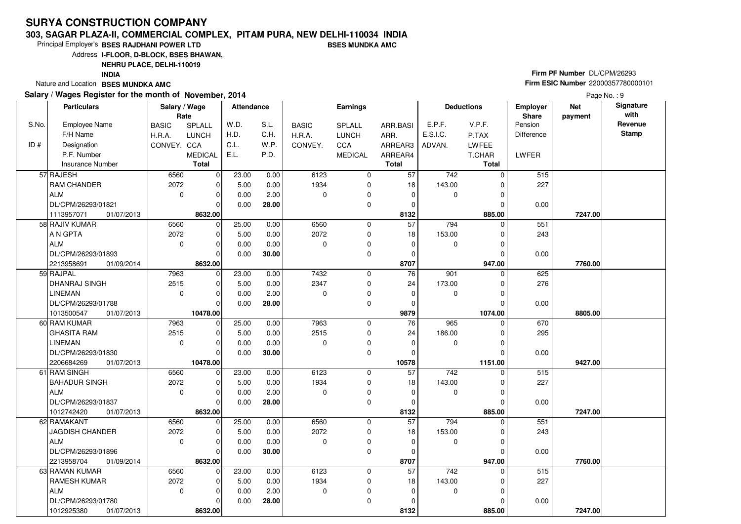#### **303, SAGAR PLAZA-II, COMMERCIAL COMPLEX, PITAM PURA, NEW DELHI-110034 INDIABSES MUNDKA AMC**

Principal Employer's**BSES RAJDHANI POWER LTD**

Address**I-FLOOR, D-BLOCK, BSES BHAWAN,**

### **NEHRU PLACE, DELHI-110019**

**INDIA**

Nature and Location **BSES MUNDKA AMC** 

#### **Salary / Wages Register for the month of November, 2014**

# **Firm PF Number** DL/CPM/26293 **Firm ESIC Number** <sup>22000357780000101</sup>

|       | <b>Particulars</b>       | Salary / Wage<br>Rate |                | <b>Attendance</b> |       |              | <b>Earnings</b> |                 |                  | <b>Deductions</b> | <b>Employer</b><br>Share | <b>Net</b><br>payment | Signature<br>with |
|-------|--------------------------|-----------------------|----------------|-------------------|-------|--------------|-----------------|-----------------|------------------|-------------------|--------------------------|-----------------------|-------------------|
| S.No. | Employee Name            | <b>BASIC</b>          | SPLALL         | W.D.              | S.L.  | <b>BASIC</b> | <b>SPLALL</b>   | ARR.BASI        | E.P.F.           | V.P.F.            | Pension                  |                       | Revenue           |
|       | F/H Name                 | H.R.A.                | <b>LUNCH</b>   | H.D.              | C.H.  | H.R.A.       | <b>LUNCH</b>    | ARR.            | E.S.I.C.         | P.TAX             | Difference               |                       | Stamp             |
| ID#   | Designation              | CONVEY. CCA           |                | C.L.              | W.P.  | CONVEY.      | CCA             | ARREAR3         | ADVAN.           | LWFEE             |                          |                       |                   |
|       | P.F. Number              |                       | <b>MEDICAL</b> | E.L.              | P.D.  |              | <b>MEDICAL</b>  | ARREAR4         |                  | T.CHAR            | LWFER                    |                       |                   |
|       | <b>Insurance Number</b>  |                       | <b>Total</b>   |                   |       |              |                 | <b>Total</b>    |                  | <b>Total</b>      |                          |                       |                   |
|       | 57 RAJESH                | 6560                  | $\mathbf 0$    | 23.00             | 0.00  | 6123         | $\mathbf 0$     | 57              | $\overline{742}$ | $\Omega$          | 515                      |                       |                   |
|       | <b>RAM CHANDER</b>       | 2072                  | 0              | 5.00              | 0.00  | 1934         | 0               | 18              | 143.00           |                   | 227                      |                       |                   |
|       | ALM                      | $\mathbf 0$           | $\mathbf 0$    | 0.00              | 2.00  | $\mathbf 0$  | 0               | $\mathbf 0$     | $\mathbf 0$      | 0                 |                          |                       |                   |
|       | DL/CPM/26293/01821       |                       | $\Omega$       | 0.00              | 28.00 |              | $\mathbf 0$     | 0               |                  |                   | 0.00                     |                       |                   |
|       | 1113957071<br>01/07/2013 |                       | 8632.00        |                   |       |              |                 | 8132            |                  | 885.00            |                          | 7247.00               |                   |
|       | 58 RAJIV KUMAR           | 6560                  | $\mathbf 0$    | 25.00             | 0.00  | 6560         | $\mathbf 0$     | $\overline{57}$ | 794              | $\Omega$          | 551                      |                       |                   |
|       | A N GPTA                 | 2072                  | $\mathbf 0$    | 5.00              | 0.00  | 2072         | $\mathbf 0$     | 18              | 153.00           |                   | 243                      |                       |                   |
|       | ALM                      | $\mathbf 0$           | $\mathbf 0$    | 0.00              | 0.00  | $\mathbf 0$  | $\mathbf 0$     | 0               | 0                | 0                 |                          |                       |                   |
|       | DL/CPM/26293/01893       |                       | $\Omega$       | 0.00              | 30.00 |              | 0               | $\mathbf 0$     |                  | $\Omega$          | 0.00                     |                       |                   |
|       | 2213958691<br>01/09/2014 |                       | 8632.00        |                   |       |              |                 | 8707            |                  | 947.00            |                          | 7760.00               |                   |
|       | 59 RAJPAL                | 7963                  | $\mathbf 0$    | 23.00             | 0.00  | 7432         | $\mathbf 0$     | 76              | 901              | $\Omega$          | 625                      |                       |                   |
|       | DHANRAJ SINGH            | 2515                  | $\mathbf 0$    | 5.00              | 0.00  | 2347         | $\mathbf 0$     | 24              | 173.00           | $\Omega$          | 276                      |                       |                   |
|       | <b>LINEMAN</b>           | $\mathbf 0$           | $\mathbf 0$    | 0.00              | 2.00  | $\Omega$     | 0               | 0               | 0                | $\Omega$          |                          |                       |                   |
|       | DL/CPM/26293/01788       |                       | $\Omega$       | 0.00              | 28.00 |              | 0               | $\Omega$        |                  |                   | 0.00                     |                       |                   |
|       | 01/07/2013<br>1013500547 |                       | 10478.00       |                   |       |              |                 | 9879            |                  | 1074.00           |                          | 8805.00               |                   |
|       | 60 RAM KUMAR             | 7963                  | $\mathbf 0$    | 25.00             | 0.00  | 7963         | 0               | 76              | 965              | 0                 | 670                      |                       |                   |
|       | <b>GHASITA RAM</b>       | 2515                  | $\mathbf 0$    | 5.00              | 0.00  | 2515         | 0               | 24              | 186.00           | $\Omega$          | 295                      |                       |                   |
|       | <b>LINEMAN</b>           | $\mathbf 0$           | $\mathbf 0$    | 0.00              | 0.00  | $\Omega$     | $\mathbf 0$     | $\mathbf 0$     | 0                | O                 |                          |                       |                   |
|       | DL/CPM/26293/01830       |                       | $\Omega$       | 0.00              | 30.00 |              | 0               | 0               |                  | $\Omega$          | 0.00                     |                       |                   |
|       | 2206684269<br>01/07/2013 |                       | 10478.00       |                   |       |              |                 | 10578           |                  | 1151.00           |                          | 9427.00               |                   |
|       | 61 RAM SINGH             | 6560                  | 0              | 23.00             | 0.00  | 6123         | $\mathbf 0$     | 57              | $\overline{742}$ | 0                 | 515                      |                       |                   |
|       | <b>BAHADUR SINGH</b>     | 2072                  | 0              | 5.00              | 0.00  | 1934         | 0               | 18              | 143.00           | 0                 | 227                      |                       |                   |
|       | ALM                      | $\mathbf 0$           | $\mathbf 0$    | 0.00              | 2.00  | $\Omega$     | 0               | $\mathbf 0$     | 0                | 0                 |                          |                       |                   |
|       | DL/CPM/26293/01837       |                       | $\Omega$       | 0.00              | 28.00 |              | $\mathbf 0$     | $\Omega$        |                  | O                 | 0.00                     |                       |                   |
|       | 01/07/2013<br>1012742420 |                       | 8632.00        |                   |       |              |                 | 8132            |                  | 885.00            |                          | 7247.00               |                   |
|       | 62 RAMAKANT              | 6560                  | $\mathbf 0$    | 25.00             | 0.00  | 6560         | $\mathbf 0$     | $\overline{57}$ | 794              | $\Omega$          | 551                      |                       |                   |
|       | JAGDISH CHANDER          | 2072                  | $\mathbf 0$    | 5.00              | 0.00  | 2072         | $\mathbf 0$     | 18              | 153.00           | $\Omega$          | 243                      |                       |                   |
|       | ALM                      | $\mathbf 0$           | $\mathbf 0$    | 0.00              | 0.00  | $\Omega$     | 0               | $\mathbf 0$     | 0                | 0                 |                          |                       |                   |
|       | DL/CPM/26293/01896       |                       | $\Omega$       | 0.00              | 30.00 |              | $\mathbf 0$     | $\mathbf 0$     |                  | $\Omega$          | 0.00                     |                       |                   |
|       | 2213958704<br>01/09/2014 |                       | 8632.00        |                   |       |              |                 | 8707            |                  | 947.00            |                          | 7760.00               |                   |
|       | 63 RAMAN KUMAR           | 6560                  | $\mathbf 0$    | 23.00             | 0.00  | 6123         | 0               | $\overline{57}$ | 742              | $\Omega$          | 515                      |                       |                   |
|       | <b>RAMESH KUMAR</b>      | 2072                  | $\mathbf 0$    | 5.00              | 0.00  | 1934         | 0               | 18              | 143.00           | 0                 | 227                      |                       |                   |
|       | ALM                      | $\mathbf 0$           | $\mathbf 0$    | 0.00              | 2.00  | $\Omega$     | 0               | $\mathbf 0$     | 0                |                   |                          |                       |                   |
|       | DL/CPM/26293/01780       |                       | $\Omega$       | 0.00              | 28.00 |              | $\mathbf 0$     | $\Omega$        |                  |                   | 0.00                     |                       |                   |
|       | 1012925380<br>01/07/2013 |                       | 8632.00        |                   |       |              |                 | 8132            |                  | 885.00            |                          | 7247.00               |                   |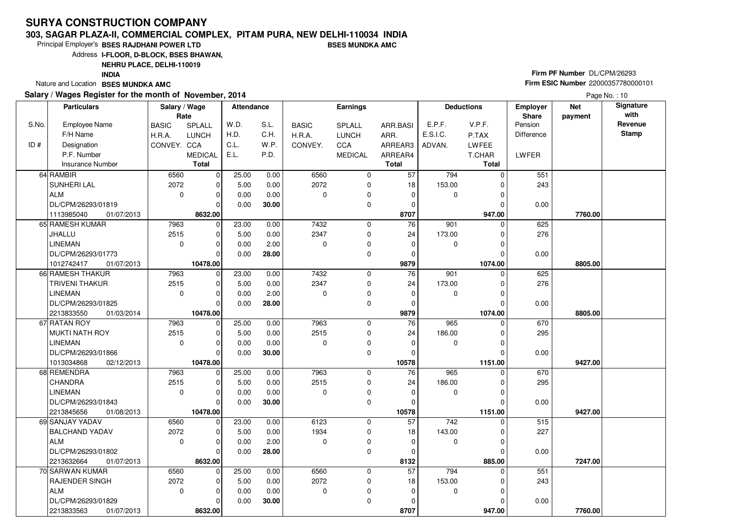#### **303, SAGAR PLAZA-II, COMMERCIAL COMPLEX, PITAM PURA, NEW DELHI-110034 INDIABSES MUNDKA AMC**

Principal Employer's**BSES RAJDHANI POWER LTD**

Address**I-FLOOR, D-BLOCK, BSES BHAWAN,**

### **NEHRU PLACE, DELHI-110019**

**INDIA**

Nature and Location **BSES MUNDKA AMC** 

#### **Salary / Wages Register for the month of November, 2014**

# **Firm PF Number** DL/CPM/26293 **Firm ESIC Number** <sup>22000357780000101</sup>

|       | <b>Particulars</b>                          | Salary / Wage<br>Rate |                      | Attendance |       |              | <b>Earnings</b> |                 |          | <b>Deductions</b>   | Employer<br>Share | <b>Net</b><br>payment | Signature<br>with |
|-------|---------------------------------------------|-----------------------|----------------------|------------|-------|--------------|-----------------|-----------------|----------|---------------------|-------------------|-----------------------|-------------------|
| S.No. | Employee Name                               | <b>BASIC</b>          | SPLALL               | W.D.       | S.L.  | <b>BASIC</b> | <b>SPLALL</b>   | ARR.BASI        | E.P.F.   | V.P.F.              | Pension           |                       | Revenue           |
|       | F/H Name                                    | H.R.A.                | <b>LUNCH</b>         | H.D.       | C.H.  | H.R.A.       | <b>LUNCH</b>    | ARR.            | E.S.I.C. | P.TAX               | Difference        |                       | <b>Stamp</b>      |
| ID#   | Designation                                 | CONVEY. CCA           |                      | C.L.       | W.P.  | CONVEY.      | <b>CCA</b>      | ARREAR3         | ADVAN.   | <b>LWFEE</b>        |                   |                       |                   |
|       | P.F. Number                                 |                       | <b>MEDICAL</b>       | E.L.       | P.D.  |              | <b>MEDICAL</b>  | ARREAR4         |          | T.CHAR              | <b>LWFER</b>      |                       |                   |
|       | Insurance Number                            |                       | <b>Total</b>         |            |       |              |                 | <b>Total</b>    |          | <b>Total</b>        |                   |                       |                   |
|       | 64 RAMBIR                                   | 6560                  | $\mathbf 0$          | 25.00      | 0.00  | 6560         | $\mathbf 0$     | 57              | 794      | $\Omega$            | 551               |                       |                   |
|       | SUNHERI LAL                                 | 2072                  | $\mathbf 0$          | 5.00       | 0.00  | 2072         | 0               | 18              | 153.00   |                     | 243               |                       |                   |
|       | ALM                                         | $\mathbf 0$           | $\mathbf 0$          | 0.00       | 0.00  | $\mathbf 0$  | $\pmb{0}$       | 0               | 0        | 0                   |                   |                       |                   |
|       | DL/CPM/26293/01819                          |                       | $\Omega$             | 0.00       | 30.00 |              | 0               | $\mathbf 0$     |          |                     | 0.00              |                       |                   |
|       | 1113985040<br>01/07/2013                    |                       | 8632.00              |            |       |              |                 | 8707            |          | 947.00              |                   | 7760.00               |                   |
|       | 65 RAMESH KUMAR                             | 7963                  | $\mathbf 0$          | 23.00      | 0.00  | 7432         | $\mathbf 0$     | 76              | 901      | 0                   | 625               |                       |                   |
|       | JHALLU                                      | 2515                  | $\mathbf 0$          | 5.00       | 0.00  | 2347         | $\mathbf 0$     | 24              | 173.00   |                     | 276               |                       |                   |
|       | LINEMAN                                     | $\mathbf 0$           | $\mathbf 0$          | 0.00       | 2.00  | $\Omega$     | $\mathbf 0$     | $\mathbf 0$     | 0        | 0                   |                   |                       |                   |
|       | DL/CPM/26293/01773                          |                       | $\Omega$             | 0.00       | 28.00 |              | 0               | 0               |          | $\Omega$            | 0.00              |                       |                   |
|       | 1012742417<br>01/07/2013                    |                       | 10478.00             |            |       |              |                 | 9879            |          | 1074.00             |                   | 8805.00               |                   |
|       | 66 RAMESH THAKUR                            | 7963                  | $\mathbf 0$          | 23.00      | 0.00  | 7432         | $\mathbf 0$     | $\overline{76}$ | 901      | 0                   | 625               |                       |                   |
|       | <b>TRIVENI THAKUR</b>                       | 2515                  | $\mathbf 0$          | 5.00       | 0.00  | 2347         | 0               | 24              | 173.00   | 0                   | 276               |                       |                   |
|       | <b>LINEMAN</b>                              | $\mathbf 0$           | $\mathbf 0$          | 0.00       | 2.00  | $\mathbf 0$  | $\mathbf 0$     | $\pmb{0}$       | 0        |                     |                   |                       |                   |
|       | DL/CPM/26293/01825                          |                       | $\Omega$             | 0.00       | 28.00 |              | $\mathbf 0$     | $\Omega$        |          |                     | 0.00              |                       |                   |
|       | 2213833550<br>01/03/2014                    |                       | 10478.00             |            |       |              |                 | 9879            |          | 1074.00             |                   | 8805.00               |                   |
|       | 67 RATAN ROY                                | 7963                  | $\mathbf 0$          | 25.00      | 0.00  | 7963         | $\mathbf 0$     | 76              | 965      | 0                   | 670               |                       |                   |
|       | MUKTI NATH ROY                              | 2515                  | $\mathbf 0$          | 5.00       | 0.00  | 2515         | $\mathbf 0$     | 24              | 186.00   | 0                   | 295               |                       |                   |
|       | <b>LINEMAN</b>                              | $\mathbf 0$           | $\mathbf 0$          | 0.00       | 0.00  | $\Omega$     | 0               | $\mathbf 0$     | 0        |                     |                   |                       |                   |
|       | DL/CPM/26293/01866                          |                       | $\Omega$             | 0.00       | 30.00 |              | $\mathbf 0$     | $\Omega$        |          | O                   | 0.00              |                       |                   |
|       | 02/12/2013<br>1013034868                    |                       | 10478.00             |            |       |              |                 | 10578           |          | 1151.00             |                   | 9427.00               |                   |
|       | 68 REMENDRA                                 | 7963                  | $\mathbf 0$          | 25.00      | 0.00  | 7963         | 0               | 76              | 965      | 0                   | 670               |                       |                   |
|       | <b>CHANDRA</b>                              | 2515                  | 0                    | 5.00       | 0.00  | 2515         | $\mathbf 0$     | 24              | 186.00   | 0                   | 295               |                       |                   |
|       | <b>LINEMAN</b>                              | $\mathbf 0$           | $\Omega$<br>$\Omega$ | 0.00       | 0.00  | $\Omega$     | 0               | $\Omega$        | 0        |                     |                   |                       |                   |
|       | DL/CPM/26293/01843                          |                       |                      | 0.00       | 30.00 |              | 0               | 0               |          |                     | 0.00              |                       |                   |
|       | 2213845656<br>01/08/2013<br>69 SANJAY YADAV | 6560                  | 10478.00<br> 0       | 23.00      | 0.00  | 6123         | $\mathbf 0$     | 10578<br>57     | 742      | 1151.00<br>$\Omega$ | 515               | 9427.00               |                   |
|       | <b>BALCHAND YADAV</b>                       | 2072                  | $\mathbf 0$          | 5.00       | 0.00  | 1934         | $\mathbf 0$     | 18              | 143.00   |                     | 227               |                       |                   |
|       | ALM                                         | $\mathbf 0$           | $\mathbf 0$          | 0.00       | 2.00  | $\Omega$     | 0               | $\mathbf 0$     | 0        | $\Omega$            |                   |                       |                   |
|       | DL/CPM/26293/01802                          |                       | $\Omega$             | 0.00       | 28.00 |              | $\mathbf 0$     | 0               |          | $\Omega$            | 0.00              |                       |                   |
|       | 2213632664<br>01/07/2013                    |                       | 8632.00              |            |       |              |                 | 8132            |          | 885.00              |                   | 7247.00               |                   |
|       | 70 SARWAN KUMAR                             | 6560                  | $\mathbf 0$          | 25.00      | 0.00  | 6560         | 0               | 57              | 794      | $\Omega$            | 551               |                       |                   |
|       | <b>RAJENDER SINGH</b>                       | 2072                  | $\mathbf 0$          | 5.00       | 0.00  | 2072         | $\mathbf 0$     | 18              | 153.00   | 0                   | 243               |                       |                   |
|       | ALM                                         | $\mathbf 0$           | $\mathbf 0$          | 0.00       | 0.00  | $\Omega$     | 0               | $\mathbf 0$     | 0        |                     |                   |                       |                   |
|       | DL/CPM/26293/01829                          |                       | $\Omega$             | 0.00       | 30.00 |              | $\mathbf 0$     | 0               |          |                     | 0.00              |                       |                   |
|       | 2213833563<br>01/07/2013                    |                       | 8632.00              |            |       |              |                 | 8707            |          | 947.00              |                   | 7760.00               |                   |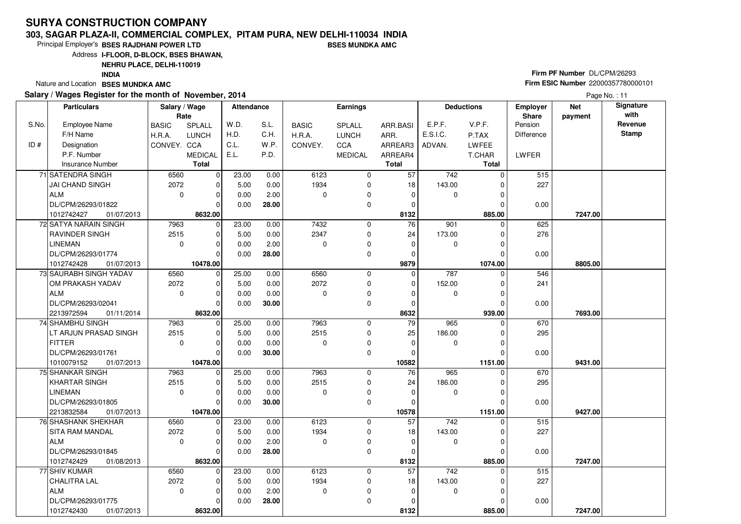#### **303, SAGAR PLAZA-II, COMMERCIAL COMPLEX, PITAM PURA, NEW DELHI-110034 INDIABSES MUNDKA AMC**

Principal Employer's**BSES RAJDHANI POWER LTD**

Address**I-FLOOR, D-BLOCK, BSES BHAWAN,**

**NEHRU PLACE, DELHI-110019**

**INDIA**

Nature and Location **BSES MUNDKA AMC** 

#### **Salary / Wages Register for the month of November, 2014**

# **Firm PF Number** DL/CPM/26293 **Firm ESIC Number** <sup>22000357780000101</sup>

|       | <b>Particulars</b>       | Salary / Wage<br>Rate |                | Attendance |       |              | <b>Earnings</b> |              |             | <b>Deductions</b> | Employer<br>Share | <b>Net</b><br>payment | Signature<br>with |
|-------|--------------------------|-----------------------|----------------|------------|-------|--------------|-----------------|--------------|-------------|-------------------|-------------------|-----------------------|-------------------|
| S.No. | <b>Employee Name</b>     | <b>BASIC</b>          | SPLALL         | W.D.       | S.L.  | <b>BASIC</b> | SPLALL          | ARR.BASI     | E.P.F.      | V.P.F.            | Pension           |                       | Revenue           |
|       | F/H Name                 | H.R.A.                | <b>LUNCH</b>   | H.D.       | C.H.  | H.R.A.       | <b>LUNCH</b>    | ARR.         | E.S.I.C.    | P.TAX             | Difference        |                       | <b>Stamp</b>      |
| ID#   | Designation              | CONVEY. CCA           |                | C.L.       | W.P.  | CONVEY.      | CCA             | ARREAR3      | ADVAN.      | LWFEE             |                   |                       |                   |
|       | P.F. Number              |                       | <b>MEDICAL</b> | E.L.       | P.D.  |              | <b>MEDICAL</b>  | ARREAR4      |             | T.CHAR            | LWFER             |                       |                   |
|       | <b>Insurance Number</b>  |                       | <b>Total</b>   |            |       |              |                 | <b>Total</b> |             | <b>Total</b>      |                   |                       |                   |
|       | 71 SATENDRA SINGH        | 6560                  | $\mathbf 0$    | 23.00      | 0.00  | 6123         | 0               | 57           | 742         | $\Omega$          | 515               |                       |                   |
|       | <b>JAI CHAND SINGH</b>   | 2072                  | 0              | 5.00       | 0.00  | 1934         | 0               | 18           | 143.00      |                   | 227               |                       |                   |
|       | <b>ALM</b>               | $\mathbf{0}$          | 0              | 0.00       | 2.00  | 0            | 0               | $\mathbf 0$  | 0           | 0                 |                   |                       |                   |
|       | DL/CPM/26293/01822       |                       | $\Omega$       | 0.00       | 28.00 |              | 0               | 0            |             | 0                 | 0.00              |                       |                   |
|       | 1012742427<br>01/07/2013 |                       | 8632.00        |            |       |              |                 | 8132         |             | 885.00            |                   | 7247.00               |                   |
|       | 72 SATYA NARAIN SINGH    | 7963                  | $\mathbf 0$    | 23.00      | 0.00  | 7432         | $\mathbf 0$     | 76           | 901         | $\Omega$          | 625               |                       |                   |
|       | RAVINDER SINGH           | 2515                  | 0              | 5.00       | 0.00  | 2347         | $\mathbf 0$     | 24           | 173.00      |                   | 276               |                       |                   |
|       | <b>LINEMAN</b>           | $\mathbf 0$           | 0              | 0.00       | 2.00  | 0            | 0               | $\mathbf 0$  | 0           | 0                 |                   |                       |                   |
|       | DL/CPM/26293/01774       |                       | $\Omega$       | 0.00       | 28.00 |              | 0               | 0            |             | 0                 | 0.00              |                       |                   |
|       | 1012742428<br>01/07/2013 |                       | 10478.00       |            |       |              |                 | 9879         |             | 1074.00           |                   | 8805.00               |                   |
|       | 73 SAURABH SINGH YADAV   | 6560                  | $\mathbf 0$    | 25.00      | 0.00  | 6560         | 0               | $\mathbf 0$  | 787         | $\Omega$          | 546               |                       |                   |
|       | OM PRAKASH YADAV         | 2072                  | $\mathbf 0$    | 5.00       | 0.00  | 2072         | 0               | $\mathbf 0$  | 152.00      | 0                 | 241               |                       |                   |
|       | <b>ALM</b>               | $\Omega$              | $\mathbf 0$    | 0.00       | 0.00  | 0            | 0               | 0            | $\mathbf 0$ | 0                 |                   |                       |                   |
|       | DL/CPM/26293/02041       |                       | $\Omega$       | 0.00       | 30.00 |              | 0               | $\mathbf 0$  |             |                   | 0.00              |                       |                   |
|       | 2213972594<br>01/11/2014 |                       | 8632.00        |            |       |              |                 | 8632         |             | 939.00            |                   | 7693.00               |                   |
|       | 74 SHAMBHU SINGH         | 7963                  | $\mathbf 0$    | 25.00      | 0.00  | 7963         | 0               | 79           | 965         | 0                 | 670               |                       |                   |
|       | LT ARJUN PRASAD SINGH    | 2515                  | 0              | 5.00       | 0.00  | 2515         | 0               | 25           | 186.00      | 0                 | 295               |                       |                   |
|       | <b>FITTER</b>            | $\mathbf 0$           | $\Omega$       | 0.00       | 0.00  | 0            | $\mathbf 0$     | $\mathbf 0$  | 0           | 0                 |                   |                       |                   |
|       | DL/CPM/26293/01761       |                       | $\Omega$       | 0.00       | 30.00 |              | 0               | $\Omega$     |             | 0                 | 0.00              |                       |                   |
|       | 1010079152<br>01/07/2013 |                       | 10478.00       |            |       |              |                 | 10582        |             | 1151.00           |                   | 9431.00               |                   |
|       | 75 SHANKAR SINGH         | 7963                  | $\mathbf 0$    | 25.00      | 0.00  | 7963         | 0               | 76           | 965         | 0                 | 670               |                       |                   |
|       | <b>KHARTAR SINGH</b>     | 2515                  | $\mathbf 0$    | 5.00       | 0.00  | 2515         | 0               | 24           | 186.00      | 0                 | 295               |                       |                   |
|       | <b>LINEMAN</b>           | $\mathbf 0$           | $\Omega$       | 0.00       | 0.00  | $\Omega$     | 0               | $\Omega$     | 0           | O                 |                   |                       |                   |
|       | DL/CPM/26293/01805       |                       | $\Omega$       | 0.00       | 30.00 |              | 0               | 0            |             |                   | 0.00              |                       |                   |
|       | 2213832584<br>01/07/2013 |                       | 10478.00       |            |       |              |                 | 10578        |             | 1151.00           |                   | 9427.00               |                   |
|       | 76 SHASHANK SHEKHAR      | 6560                  | $\mathbf 0$    | 23.00      | 0.00  | 6123         | 0               | 57           | 742         | 0                 | 515               |                       |                   |
|       | SITA RAM MANDAL          | 2072                  | $\mathbf 0$    | 5.00       | 0.00  | 1934         | $\mathbf 0$     | 18           | 143.00      |                   | 227               |                       |                   |
|       | <b>ALM</b>               | $\Omega$              | $\Omega$       | 0.00       | 2.00  | $\Omega$     | 0               | $\Omega$     | $\mathbf 0$ | O                 |                   |                       |                   |
|       | DL/CPM/26293/01845       |                       | $\Omega$       | 0.00       | 28.00 |              | $\mathbf 0$     | $\mathbf 0$  |             | $\Omega$          | 0.00              |                       |                   |
|       | 1012742429<br>01/08/2013 |                       | 8632.00        |            |       |              |                 | 8132         |             | 885.00            |                   | 7247.00               |                   |
|       | 77 SHIV KUMAR            | 6560                  | 0              | 23.00      | 0.00  | 6123         | 0               | 57           | 742         | 0                 | 515               |                       |                   |
|       | <b>CHALITRA LAL</b>      | 2072                  | 0              | 5.00       | 0.00  | 1934         | 0               | 18           | 143.00      | 0                 | 227               |                       |                   |
|       | <b>ALM</b>               | $\Omega$              | $\Omega$       | 0.00       | 2.00  | $\Omega$     | 0               | $\Omega$     | 0           | O                 |                   |                       |                   |
|       | DL/CPM/26293/01775       |                       | $\Omega$       | 0.00       | 28.00 |              | $\mathbf 0$     | 0            |             |                   | 0.00              |                       |                   |
|       | 1012742430<br>01/07/2013 |                       | 8632.00        |            |       |              |                 | 8132         |             | 885.00            |                   | 7247.00               |                   |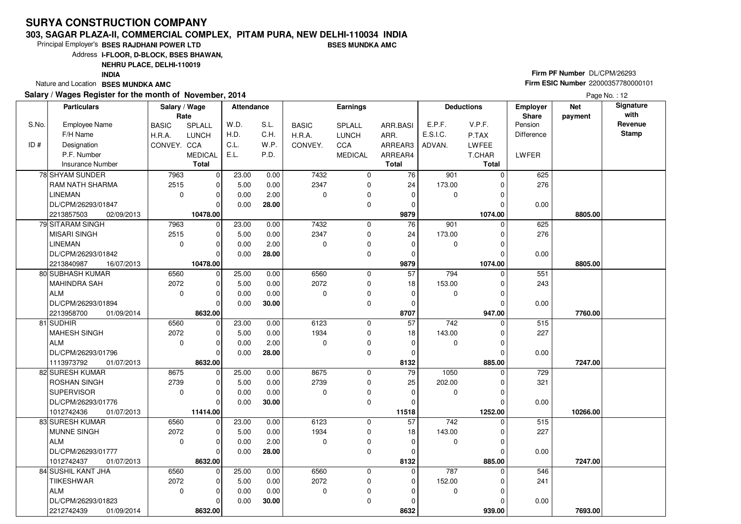#### **303, SAGAR PLAZA-II, COMMERCIAL COMPLEX, PITAM PURA, NEW DELHI-110034 INDIABSES MUNDKA AMC**

Principal Employer's**BSES RAJDHANI POWER LTD**

Address**I-FLOOR, D-BLOCK, BSES BHAWAN,**

**NEHRU PLACE, DELHI-110019**

**INDIA**

Nature and Location **BSES MUNDKA AMC** 

#### **Salary / Wages Register for the month of November, 2014**

# **Firm PF Number** DL/CPM/26293 **Firm ESIC Number** <sup>22000357780000101</sup>

|       | <b>Particulars</b>              | Salary / Wage<br>Rate |                | <b>Attendance</b> |       |              | <b>Earnings</b> |                 |          | <b>Deductions</b> | Employer<br>Share | <b>Net</b><br>payment | Signature<br>with |
|-------|---------------------------------|-----------------------|----------------|-------------------|-------|--------------|-----------------|-----------------|----------|-------------------|-------------------|-----------------------|-------------------|
| S.No. | <b>Employee Name</b>            | <b>BASIC</b>          | SPLALL         | W.D.              | S.L.  | <b>BASIC</b> | <b>SPLALL</b>   | ARR.BASI        | E.P.F.   | V.P.F.            | Pension           |                       | Revenue           |
|       | F/H Name                        | H.R.A.                | <b>LUNCH</b>   | H.D.              | C.H.  | H.R.A.       | <b>LUNCH</b>    | ARR.            | E.S.I.C. | P.TAX             | Difference        |                       | Stamp             |
| ID#   | Designation                     | CONVEY. CCA           |                | C.L.              | W.P.  | CONVEY.      | CCA             | ARREAR3         | ADVAN.   | LWFEE             |                   |                       |                   |
|       | P.F. Number                     |                       | <b>MEDICAL</b> | E.L.              | P.D.  |              | <b>MEDICAL</b>  | ARREAR4         |          | T.CHAR            | <b>LWFER</b>      |                       |                   |
|       | <b>Insurance Number</b>         |                       | <b>Total</b>   |                   |       |              |                 | <b>Total</b>    |          | <b>Total</b>      |                   |                       |                   |
|       | 78 SHYAM SUNDER                 | 7963                  | $\mathbf 0$    | 23.00             | 0.00  | 7432         | $\mathbf 0$     | 76              | 901      | $\Omega$          | 625               |                       |                   |
|       | RAM NATH SHARMA                 | 2515                  | $\mathbf 0$    | 5.00              | 0.00  | 2347         | 0               | 24              | 173.00   |                   | 276               |                       |                   |
|       | <b>LINEMAN</b>                  | $\mathbf{0}$          | $\mathbf 0$    | 0.00              | 2.00  | 0            | 0               | $\mathbf 0$     | 0        | 0                 |                   |                       |                   |
|       | DL/CPM/26293/01847              |                       | $\Omega$       | 0.00              | 28.00 |              | $\mathbf 0$     | 0               |          |                   | 0.00              |                       |                   |
|       | 2213857503<br>02/09/2013        |                       | 10478.00       |                   |       |              |                 | 9879            |          | 1074.00           |                   | 8805.00               |                   |
|       | 79 SITARAM SINGH                | 7963                  | $\mathbf 0$    | 23.00             | 0.00  | 7432         | $\mathbf 0$     | 76              | 901      | $\Omega$          | 625               |                       |                   |
|       | <b>MISARI SINGH</b>             | 2515                  | $\Omega$       | 5.00              | 0.00  | 2347         | $\mathbf 0$     | 24              | 173.00   |                   | 276               |                       |                   |
|       | <b>LINEMAN</b>                  | 0                     | $\mathbf 0$    | 0.00              | 2.00  | 0            | 0               | 0               | 0        | 0                 |                   |                       |                   |
|       | DL/CPM/26293/01842              |                       | $\Omega$       | 0.00              | 28.00 |              | 0               | $\mathbf 0$     |          | $\Omega$          | 0.00              |                       |                   |
|       | 2213840987<br>16/07/2013        |                       | 10478.00       |                   |       |              |                 | 9879            |          | 1074.00           |                   | 8805.00               |                   |
|       | 80 SUBHASH KUMAR                | 6560                  | $\mathbf 0$    | 25.00             | 0.00  | 6560         | $\mathbf 0$     | 57              | 794      | $\Omega$          | 551               |                       |                   |
|       | <b>MAHINDRA SAH</b>             | 2072                  | $\mathbf 0$    | 5.00              | 0.00  | 2072         | 0               | 18              | 153.00   | 0                 | 243               |                       |                   |
|       | <b>ALM</b>                      | $\mathbf 0$           | $\mathbf 0$    | 0.00              | 0.00  | 0            | $\pmb{0}$       | 0               | 0        | 0                 |                   |                       |                   |
|       | DL/CPM/26293/01894              |                       | $\Omega$       | 0.00              | 30.00 |              | 0               | 0               |          | 0                 | 0.00              |                       |                   |
|       | 2213958700<br>01/09/2014        |                       | 8632.00        |                   |       |              |                 | 8707            |          | 947.00            |                   | 7760.00               |                   |
|       | 81 SUDHIR                       | 6560                  | $\mathbf 0$    | 23.00             | 0.00  | 6123         | 0               | $\overline{57}$ | 742      | $\Omega$          | 515               |                       |                   |
|       | <b>MAHESH SINGH</b>             | 2072                  | 0              | 5.00              | 0.00  | 1934         | 0               | 18              | 143.00   | 0                 | 227               |                       |                   |
|       | <b>ALM</b>                      | $\mathsf 0$           | $\Omega$       | 0.00              | 2.00  | 0            | $\mathbf 0$     | $\mathbf 0$     | 0        | 0                 |                   |                       |                   |
|       | DL/CPM/26293/01796              |                       | $\Omega$       | 0.00              | 28.00 |              | 0               | 0               |          | 0                 | 0.00              |                       |                   |
|       | 1113973792<br>01/07/2013        |                       | 8632.00        |                   |       |              |                 | 8132            |          | 885.00            |                   | 7247.00               |                   |
|       | 82 SURESH KUMAR                 | 8675                  | 0              | 25.00             | 0.00  | 8675         | 0               | 79              | 1050     | 0                 | 729               |                       |                   |
|       | ROSHAN SINGH                    | 2739                  | 0              | 5.00              | 0.00  | 2739         | 0               | 25              | 202.00   | 0                 | 321               |                       |                   |
|       | <b>SUPERVISOR</b>               | $\mathbf 0$           | $\Omega$       | 0.00              | 0.00  | $\Omega$     | 0               | $\mathbf 0$     | 0        | 0                 |                   |                       |                   |
|       | DL/CPM/26293/01776              |                       | $\Omega$       | 0.00              | 30.00 |              | $\mathbf 0$     | $\Omega$        |          | 0                 | 0.00              |                       |                   |
|       | 01/07/2013<br>1012742436        |                       | 11414.00       |                   |       |              |                 | 11518           |          | 1252.00           |                   | 10266.00              |                   |
|       | 83 SURESH KUMAR                 | 6560                  | $\mathbf 0$    | 23.00             | 0.00  | 6123         | 0               | 57              | 742      | $\Omega$          | 515               |                       |                   |
|       | <b>MUNNE SINGH</b>              | 2072                  | 0              | 5.00              | 0.00  | 1934         | 0               | 18              | 143.00   | 0                 | 227               |                       |                   |
|       | <b>ALM</b>                      | 0                     | $\Omega$       | 0.00              | 2.00  | 0            | 0               | $\mathbf 0$     | 0        | 0                 |                   |                       |                   |
|       | DL/CPM/26293/01777              |                       | $\Omega$       | 0.00              | 28.00 |              | $\mathbf 0$     | $\mathbf 0$     |          | 0                 | 0.00              |                       |                   |
|       | 1012742437<br>01/07/2013        |                       | 8632.00        |                   |       |              |                 | 8132            |          | 885.00            |                   | 7247.00               |                   |
|       | 84 SUSHIL KANT JHA              | 6560                  | $\mathbf 0$    | 25.00             | 0.00  | 6560         | 0               | $\mathbf 0$     | 787      | $\Omega$          | 546               |                       |                   |
|       | <b>TIIKESHWAR</b><br><b>ALM</b> | 2072                  | 0              | 5.00              | 0.00  | 2072         | 0               | 0               | 152.00   | 0                 | 241               |                       |                   |
|       |                                 | $\mathbf 0$           | $\Omega$       | 0.00              | 0.00  | $\Omega$     | 0               | 0               | 0        |                   |                   |                       |                   |
|       | DL/CPM/26293/01823              |                       | $\Omega$       | 0.00              | 30.00 |              | $\mathbf 0$     | 0<br>8632       |          |                   | 0.00              |                       |                   |
|       | 2212742439<br>01/09/2014        |                       | 8632.00        |                   |       |              |                 |                 |          | 939.00            |                   | 7693.00               |                   |